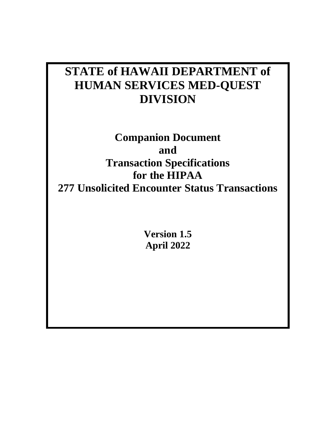# **STATE of HAWAII DEPARTMENT of HUMAN SERVICES MED-QUEST DIVISION**

**Companion Document and Transaction Specifications for the HIPAA 277 Unsolicited Encounter Status Transactions**

> **Version 1.5 April 2022**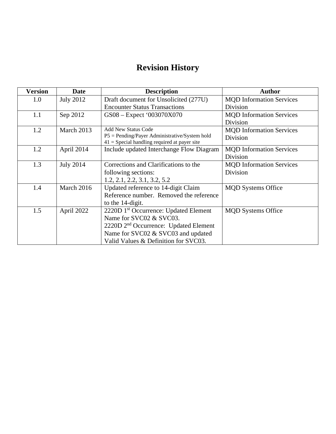# **Revision History**

| <b>Version</b> | <b>Date</b>      | <b>Description</b>                                                                                | <b>Author</b>                   |
|----------------|------------------|---------------------------------------------------------------------------------------------------|---------------------------------|
| 1.0            | <b>July 2012</b> | Draft document for Unsolicited (277U)                                                             | <b>MQD</b> Information Services |
|                |                  | <b>Encounter Status Transactions</b>                                                              | Division                        |
| 1.1            | Sep 2012         | GS08 - Expect '003070X070                                                                         | <b>MQD</b> Information Services |
|                |                  |                                                                                                   | Division                        |
| 1.2            | March 2013       | <b>Add New Status Code</b>                                                                        | <b>MQD</b> Information Services |
|                |                  | $P5 =$ Pending/Payer Administrative/System hold<br>$41$ = Special handling required at payer site | Division                        |
| 1.2            | April 2014       | Include updated Interchange Flow Diagram                                                          | <b>MQD</b> Information Services |
|                |                  |                                                                                                   | Division                        |
| 1.3            | <b>July 2014</b> | Corrections and Clarifications to the                                                             | <b>MQD</b> Information Services |
|                |                  | following sections:                                                                               | Division                        |
|                |                  | 1.2, 2.1, 2.2, 3.1, 3.2, 5.2                                                                      |                                 |
| 1.4            | March 2016       | Updated reference to 14-digit Claim                                                               | <b>MQD</b> Systems Office       |
|                |                  | Reference number. Removed the reference                                                           |                                 |
|                |                  | to the 14-digit.                                                                                  |                                 |
| 1.5            | April 2022       | 2220D 1 <sup>st</sup> Occurrence: Updated Element                                                 | <b>MQD</b> Systems Office       |
|                |                  | Name for SVC02 & SVC03.                                                                           |                                 |
|                |                  | 2220D 2 <sup>nd</sup> Occurrence: Updated Element                                                 |                                 |
|                |                  | Name for SVC02 & SVC03 and updated                                                                |                                 |
|                |                  | Valid Values & Definition for SVC03.                                                              |                                 |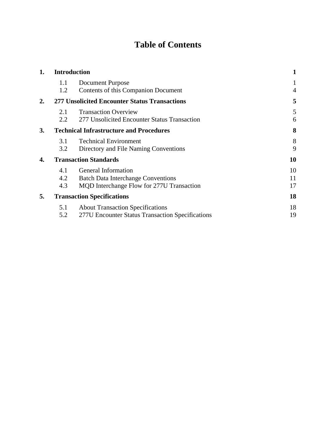# **Table of Contents**

| 1. | <b>Introduction</b>                                  |                                                  | 1  |
|----|------------------------------------------------------|--------------------------------------------------|----|
|    | 1.1                                                  | Document Purpose                                 | 1  |
|    | 1.2                                                  | Contents of this Companion Document              | 4  |
| 2. | <b>277 Unsolicited Encounter Status Transactions</b> |                                                  | 5  |
|    | 2.1                                                  | <b>Transaction Overview</b>                      | 5  |
|    | 2.2                                                  | 277 Unsolicited Encounter Status Transaction     | 6  |
| 3. |                                                      | <b>Technical Infrastructure and Procedures</b>   | 8  |
|    | 3.1                                                  | <b>Technical Environment</b>                     | 8  |
|    | 3.2                                                  | Directory and File Naming Conventions            | 9  |
| 4. |                                                      | <b>Transaction Standards</b>                     | 10 |
|    | 4.1                                                  | General Information                              | 10 |
|    | 4.2                                                  | <b>Batch Data Interchange Conventions</b>        | 11 |
|    | 4.3                                                  | MQD Interchange Flow for 277U Transaction        | 17 |
| 5. |                                                      | <b>Transaction Specifications</b>                | 18 |
|    | 5.1                                                  | <b>About Transaction Specifications</b>          | 18 |
|    | 5.2                                                  | 277U Encounter Status Transaction Specifications | 19 |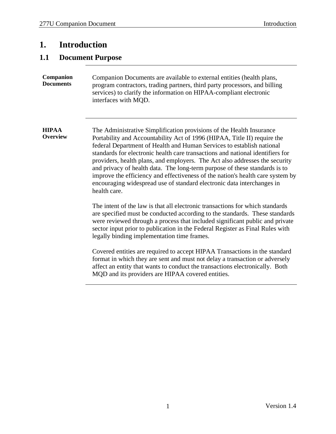## <span id="page-3-0"></span>**1. Introduction**

### <span id="page-3-1"></span>**1.1 Document Purpose**

| <b>Companion</b> | Companion Documents are available to external entities (health plans,      |
|------------------|----------------------------------------------------------------------------|
| <b>Documents</b> | program contractors, trading partners, third party processors, and billing |
|                  | services) to clarify the information on HIPAA-compliant electronic         |
|                  | interfaces with MQD.                                                       |

**HIPAA Overview** The Administrative Simplification provisions of the Health Insurance Portability and Accountability Act of 1996 (HIPAA, Title II) require the federal Department of Health and Human Services to establish national standards for electronic health care transactions and national identifiers for providers, health plans, and employers. The Act also addresses the security and privacy of health data. The long-term purpose of these standards is to improve the efficiency and effectiveness of the nation's health care system by encouraging widespread use of standard electronic data interchanges in health care.

> The intent of the law is that all electronic transactions for which standards are specified must be conducted according to the standards. These standards were reviewed through a process that included significant public and private sector input prior to publication in the Federal Register as Final Rules with legally binding implementation time frames.

Covered entities are required to accept HIPAA Transactions in the standard format in which they are sent and must not delay a transaction or adversely affect an entity that wants to conduct the transactions electronically. Both MQD and its providers are HIPAA covered entities.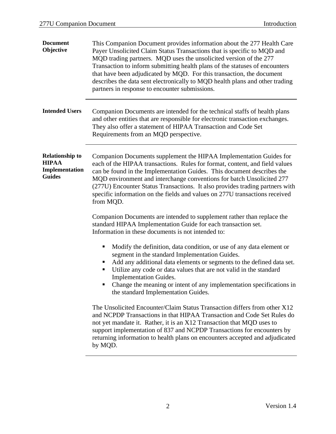| <b>Document</b><br>Objective                                              | This Companion Document provides information about the 277 Health Care<br>Payer Unsolicited Claim Status Transactions that is specific to MQD and<br>MQD trading partners. MQD uses the unsolicited version of the 277<br>Transaction to inform submitting health plans of the statuses of encounters<br>that have been adjudicated by MQD. For this transaction, the document<br>describes the data sent electronically to MQD health plans and other trading<br>partners in response to encounter submissions. |  |  |
|---------------------------------------------------------------------------|------------------------------------------------------------------------------------------------------------------------------------------------------------------------------------------------------------------------------------------------------------------------------------------------------------------------------------------------------------------------------------------------------------------------------------------------------------------------------------------------------------------|--|--|
| <b>Intended Users</b>                                                     | Companion Documents are intended for the technical staffs of health plans<br>and other entities that are responsible for electronic transaction exchanges.<br>They also offer a statement of HIPAA Transaction and Code Set<br>Requirements from an MQD perspective.                                                                                                                                                                                                                                             |  |  |
| <b>Relationship to</b><br><b>HIPAA</b><br>Implementation<br><b>Guides</b> | Companion Documents supplement the HIPAA Implementation Guides for<br>each of the HIPAA transactions. Rules for format, content, and field values<br>can be found in the Implementation Guides. This document describes the<br>MQD environment and interchange conventions for batch Unsolicited 277<br>(277U) Encounter Status Transactions. It also provides trading partners with<br>specific information on the fields and values on 277U transactions received<br>from MQD.                                 |  |  |
|                                                                           | Companion Documents are intended to supplement rather than replace the<br>standard HIPAA Implementation Guide for each transaction set.<br>Information in these documents is not intended to:                                                                                                                                                                                                                                                                                                                    |  |  |
|                                                                           | Modify the definition, data condition, or use of any data element or<br>ш<br>segment in the standard Implementation Guides.<br>Add any additional data elements or segments to the defined data set.<br>Utilize any code or data values that are not valid in the standard<br>п<br><b>Implementation Guides.</b><br>Change the meaning or intent of any implementation specifications in<br>the standard Implementation Guides.                                                                                  |  |  |
|                                                                           | The Unsolicited Encounter/Claim Status Transaction differs from other X12<br>and NCPDP Transactions in that HIPAA Transaction and Code Set Rules do<br>not yet mandate it. Rather, it is an X12 Transaction that MQD uses to<br>support implementation of 837 and NCPDP Transactions for encounters by<br>returning information to health plans on encounters accepted and adjudicated<br>by MQD.                                                                                                                |  |  |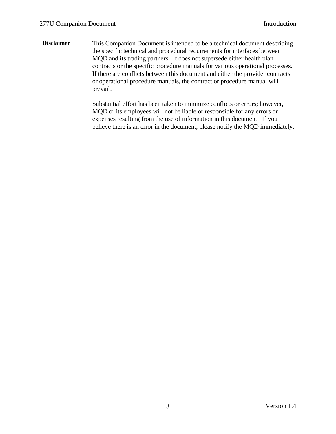**Disclaimer** This Companion Document is intended to be a technical document describing the specific technical and procedural requirements for interfaces between MQD and its trading partners. It does not supersede either health plan contracts or the specific procedure manuals for various operational processes. If there are conflicts between this document and either the provider contracts or operational procedure manuals, the contract or procedure manual will prevail.

> Substantial effort has been taken to minimize conflicts or errors; however, MQD or its employees will not be liable or responsible for any errors or expenses resulting from the use of information in this document. If you believe there is an error in the document, please notify the MQD immediately.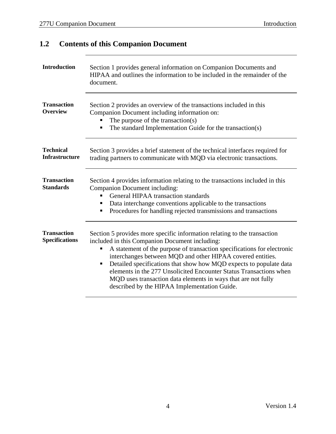| <b>Introduction</b>                         | Section 1 provides general information on Companion Documents and<br>HIPAA and outlines the information to be included in the remainder of the<br>document.                                                                                                                                                                                                                                                                                                                                                                                |  |  |  |  |
|---------------------------------------------|--------------------------------------------------------------------------------------------------------------------------------------------------------------------------------------------------------------------------------------------------------------------------------------------------------------------------------------------------------------------------------------------------------------------------------------------------------------------------------------------------------------------------------------------|--|--|--|--|
| <b>Transaction</b><br><b>Overview</b>       | Section 2 provides an overview of the transactions included in this<br>Companion Document including information on:<br>The purpose of the transaction(s)<br>The standard Implementation Guide for the transaction(s)<br>п                                                                                                                                                                                                                                                                                                                  |  |  |  |  |
| <b>Technical</b><br><b>Infrastructure</b>   | Section 3 provides a brief statement of the technical interfaces required for<br>trading partners to communicate with MQD via electronic transactions.                                                                                                                                                                                                                                                                                                                                                                                     |  |  |  |  |
| <b>Transaction</b><br><b>Standards</b>      | Section 4 provides information relating to the transactions included in this<br>Companion Document including:<br>General HIPAA transaction standards<br>Data interchange conventions applicable to the transactions<br>п<br>Procedures for handling rejected transmissions and transactions<br>п                                                                                                                                                                                                                                           |  |  |  |  |
| <b>Transaction</b><br><b>Specifications</b> | Section 5 provides more specific information relating to the transaction<br>included in this Companion Document including:<br>A statement of the purpose of transaction specifications for electronic<br>п<br>interchanges between MQD and other HIPAA covered entities.<br>Detailed specifications that show how MQD expects to populate data<br>п<br>elements in the 277 Unsolicited Encounter Status Transactions when<br>MQD uses transaction data elements in ways that are not fully<br>described by the HIPAA Implementation Guide. |  |  |  |  |

# <span id="page-6-0"></span>**1.2 Contents of this Companion Document**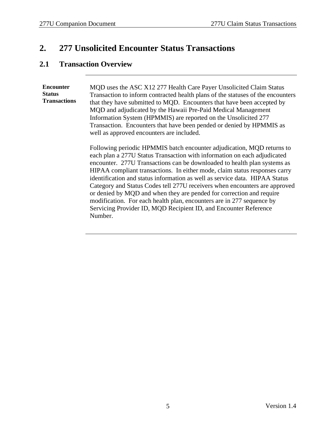# <span id="page-7-0"></span>**2. 277 Unsolicited Encounter Status Transactions**

### <span id="page-7-1"></span>**2.1 Transaction Overview**

**Encounter Status Transactions** MQD uses the ASC X12 277 Health Care Payer Unsolicited Claim Status Transaction to inform contracted health plans of the statuses of the encounters that they have submitted to MQD. Encounters that have been accepted by MQD and adjudicated by the Hawaii Pre-Paid Medical Management Information System (HPMMIS) are reported on the Unsolicited 277 Transaction. Encounters that have been pended or denied by HPMMIS as well as approved encounters are included.

Following periodic HPMMIS batch encounter adjudication, MQD returns to each plan a 277U Status Transaction with information on each adjudicated encounter. 277U Transactions can be downloaded to health plan systems as HIPAA compliant transactions. In either mode, claim status responses carry identification and status information as well as service data. HIPAA Status Category and Status Codes tell 277U receivers when encounters are approved or denied by MQD and when they are pended for correction and require modification. For each health plan, encounters are in 277 sequence by Servicing Provider ID, MQD Recipient ID, and Encounter Reference Number.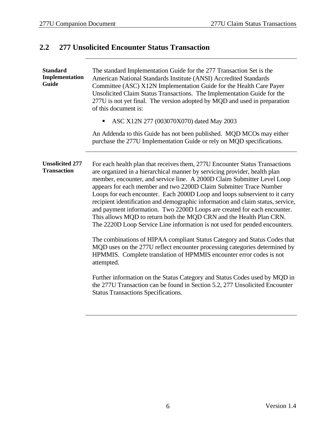# <span id="page-8-0"></span>**2.2 277 Unsolicited Encounter Status Transaction**

| <b>Standard</b><br>Implementation<br>Guide   | The standard Implementation Guide for the 277 Transaction Set is the<br>American National Standards Institute (ANSI) Accredited Standards<br>Committee (ASC) X12N Implementation Guide for the Health Care Payer<br>Unsolicited Claim Status Transactions. The Implementation Guide for the<br>277U is not yet final. The version adopted by MQD and used in preparation<br>of this document is:                                                                                                                                                                                                                                                                                                                                                                                                                                                                                                                                                                                                                                                                                                                          |  |  |
|----------------------------------------------|---------------------------------------------------------------------------------------------------------------------------------------------------------------------------------------------------------------------------------------------------------------------------------------------------------------------------------------------------------------------------------------------------------------------------------------------------------------------------------------------------------------------------------------------------------------------------------------------------------------------------------------------------------------------------------------------------------------------------------------------------------------------------------------------------------------------------------------------------------------------------------------------------------------------------------------------------------------------------------------------------------------------------------------------------------------------------------------------------------------------------|--|--|
|                                              | ASC X12N 277 (003070X070) dated May 2003<br>٠                                                                                                                                                                                                                                                                                                                                                                                                                                                                                                                                                                                                                                                                                                                                                                                                                                                                                                                                                                                                                                                                             |  |  |
|                                              | An Addenda to this Guide has not been published. MQD MCOs may either<br>purchase the 277U Implementation Guide or rely on MQD specifications.                                                                                                                                                                                                                                                                                                                                                                                                                                                                                                                                                                                                                                                                                                                                                                                                                                                                                                                                                                             |  |  |
| <b>Unsolicited 277</b><br><b>Transaction</b> | For each health plan that receives them, 277U Encounter Status Transactions<br>are organized in a hierarchical manner by servicing provider, health plan<br>member, encounter, and service line. A 2000D Claim Submitter Level Loop<br>appears for each member and two 2200D Claim Submitter Trace Number<br>Loops for each encounter. Each 2000D Loop and loops subservient to it carry<br>recipient identification and demographic information and claim status, service,<br>and payment information. Two 2200D Loops are created for each encounter.<br>This allows MQD to return both the MQD CRN and the Health Plan CRN.<br>The 2220D Loop Service Line information is not used for pended encounters.<br>The combinations of HIPAA compliant Status Category and Status Codes that<br>MQD uses on the 277U reflect encounter processing categories determined by<br>HPMMIS. Complete translation of HPMMIS encounter error codes is not<br>attempted.<br>Further information on the Status Category and Status Codes used by MQD in<br>the 277U Transaction can be found in Section 5.2, 277 Unsolicited Encounter |  |  |
|                                              | <b>Status Transactions Specifications.</b>                                                                                                                                                                                                                                                                                                                                                                                                                                                                                                                                                                                                                                                                                                                                                                                                                                                                                                                                                                                                                                                                                |  |  |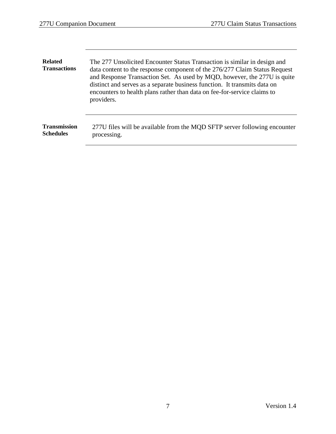| <b>Related</b><br><b>Transactions</b> | The 277 Unsolicited Encounter Status Transaction is similar in design and<br>data content to the response component of the 276/277 Claim Status Request<br>and Response Transaction Set. As used by MQD, however, the 277U is quite<br>distinct and serves as a separate business function. It transmits data on<br>encounters to health plans rather than data on fee-for-service claims to<br>providers. |  |
|---------------------------------------|------------------------------------------------------------------------------------------------------------------------------------------------------------------------------------------------------------------------------------------------------------------------------------------------------------------------------------------------------------------------------------------------------------|--|
| <b>Transmission</b>                   | 277U files will be available from the MQD SFTP server following encounter                                                                                                                                                                                                                                                                                                                                  |  |
| <b>Schedules</b>                      | processing.                                                                                                                                                                                                                                                                                                                                                                                                |  |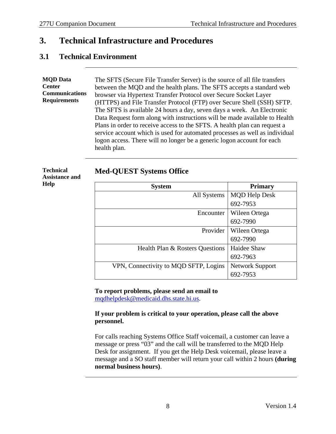## <span id="page-10-0"></span>**3. Technical Infrastructure and Procedures**

### <span id="page-10-1"></span>**3.1 Technical Environment**

**MQD Data Center Communications Requirements** The SFTS (Secure File Transfer Server) is the source of all file transfers between the MQD and the health plans. The SFTS accepts a standard web browser via Hypertext Transfer Protocol over Secure Socket Layer (HTTPS) and File Transfer Protocol (FTP) over Secure Shell (SSH) SFTP. The SFTS is available 24 hours a day, seven days a week. An Electronic Data Request form along with instructions will be made available to Health Plans in order to receive access to the SFTS. A health plan can request a service account which is used for automated processes as well as individual logon access. There will no longer be a generic logon account for each health plan.

#### **Technical Assistance and Help**

**Med-QUEST Systems Office**

| <b>System</b>                         | <b>Primary</b>         |  |
|---------------------------------------|------------------------|--|
| All Systems                           | <b>MQD Help Desk</b>   |  |
|                                       | 692-7953               |  |
| Encounter                             | Wileen Ortega          |  |
|                                       | 692-7990               |  |
| Provider                              | Wileen Ortega          |  |
|                                       | 692-7990               |  |
| Health Plan & Rosters Questions       | Haidee Shaw            |  |
|                                       | 692-7963               |  |
| VPN, Connectivity to MQD SFTP, Logins | <b>Network Support</b> |  |
|                                       | 692-7953               |  |

#### **To report problems, please send an email to** [mqdhelpdesk@medicaid.dhs.state.hi.us.](mailto:mqdhelpdesk@medicaid.dhs.state.hi.us)

### **If your problem is critical to your operation, please call the above personnel.**

For calls reaching Systems Office Staff voicemail, a customer can leave a message or press "03" and the call will be transferred to the MQD Help Desk for assignment. If you get the Help Desk voicemail, please leave a message and a SO staff member will return your call within 2 hours **(during normal business hours)**.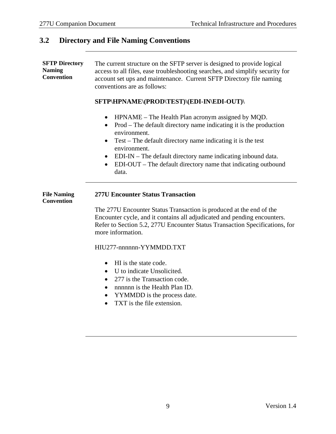### <span id="page-11-0"></span>**3.2 Directory and File Naming Conventions**

**SFTP Directory Naming Convention** The current structure on the SFTP server is designed to provide logical access to all files, ease troubleshooting searches, and simplify security for account set ups and maintenance. Current SFTP Directory file naming conventions are as follows:

### **SFTP\HPNAME\(PROD\TEST)\(EDI-IN\EDI-OUT)\**

- HPNAME The Health Plan acronym assigned by MQD.
- Prod The default directory name indicating it is the production environment.
- Test The default directory name indicating it is the test environment.
- EDI-IN The default directory name indicating inbound data.
- EDI-OUT The default directory name that indicating outbound data.

| <b>File Naming</b><br>Convention | <b>277U Encounter Status Transaction</b>                                                                                                       |
|----------------------------------|------------------------------------------------------------------------------------------------------------------------------------------------|
|                                  | The 277U Encounter Status Transaction is produced at the end of the<br>Encounter cycle, and it contains all adjudicated and pending encounter- |

bending encounters. Refer to Section 5.2, 277U Encounter Status Transaction Specifications, for more information.

HIU277-nnnnnn-YYMMDD.TXT

- HI is the state code.
- U to indicate Unsolicited.
- 277 is the Transaction code.
- nnnnnn is the Health Plan ID.
- YYMMDD is the process date.
- TXT is the file extension.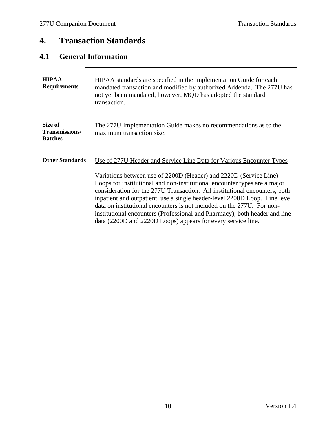# <span id="page-12-0"></span>**4. Transaction Standards**

# <span id="page-12-1"></span>**4.1 General Information**

| <b>HIPAA</b><br><b>Requirements</b>         | HIPAA standards are specified in the Implementation Guide for each<br>mandated transaction and modified by authorized Addenda. The 277U has<br>not yet been mandated, however, MQD has adopted the standard<br>transaction.                                                                                                                                                                                                                                                                                                                                                                                |  |  |
|---------------------------------------------|------------------------------------------------------------------------------------------------------------------------------------------------------------------------------------------------------------------------------------------------------------------------------------------------------------------------------------------------------------------------------------------------------------------------------------------------------------------------------------------------------------------------------------------------------------------------------------------------------------|--|--|
| Size of<br>Transmissions/<br><b>Batches</b> | The 277U Implementation Guide makes no recommendations as to the<br>maximum transaction size.                                                                                                                                                                                                                                                                                                                                                                                                                                                                                                              |  |  |
| <b>Other Standards</b>                      | Use of 277U Header and Service Line Data for Various Encounter Types<br>Variations between use of 2200D (Header) and 2220D (Service Line)<br>Loops for institutional and non-institutional encounter types are a major<br>consideration for the 277U Transaction. All institutional encounters, both<br>inpatient and outpatient, use a single header-level 2200D Loop. Line level<br>data on institutional encounters is not included on the 277U. For non-<br>institutional encounters (Professional and Pharmacy), both header and line<br>data (2200D and 2220D Loops) appears for every service line. |  |  |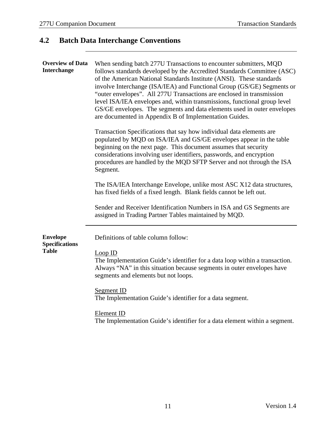# <span id="page-13-0"></span>**4.2 Batch Data Interchange Conventions**

| <b>Overview of Data</b><br><b>Interchange</b>            | When sending batch 277U Transactions to encounter submitters, MQD<br>follows standards developed by the Accredited Standards Committee (ASC)<br>of the American National Standards Institute (ANSI). These standards<br>involve Interchange (ISA/IEA) and Functional Group (GS/GE) Segments or<br>"outer envelopes". All 277U Transactions are enclosed in transmission<br>level ISA/IEA envelopes and, within transmissions, functional group level<br>GS/GE envelopes. The segments and data elements used in outer envelopes<br>are documented in Appendix B of Implementation Guides. |  |  |
|----------------------------------------------------------|-------------------------------------------------------------------------------------------------------------------------------------------------------------------------------------------------------------------------------------------------------------------------------------------------------------------------------------------------------------------------------------------------------------------------------------------------------------------------------------------------------------------------------------------------------------------------------------------|--|--|
|                                                          | Transaction Specifications that say how individual data elements are<br>populated by MQD on ISA/IEA and GS/GE envelopes appear in the table<br>beginning on the next page. This document assumes that security<br>considerations involving user identifiers, passwords, and encryption<br>procedures are handled by the MQD SFTP Server and not through the ISA<br>Segment.                                                                                                                                                                                                               |  |  |
|                                                          | The ISA/IEA Interchange Envelope, unlike most ASC X12 data structures,<br>has fixed fields of a fixed length. Blank fields cannot be left out.<br>Sender and Receiver Identification Numbers in ISA and GS Segments are<br>assigned in Trading Partner Tables maintained by MQD.                                                                                                                                                                                                                                                                                                          |  |  |
| <b>Envelope</b><br><b>Specifications</b><br><b>Table</b> | Definitions of table column follow:<br>Loop ID<br>The Implementation Guide's identifier for a data loop within a transaction.<br>Always "NA" in this situation because segments in outer envelopes have<br>segments and elements but not loops.<br>Segment ID<br>The Implementation Guide's identifier for a data segment.<br>Element ID<br>The Implementation Guide's identifier for a data element within a segment.                                                                                                                                                                    |  |  |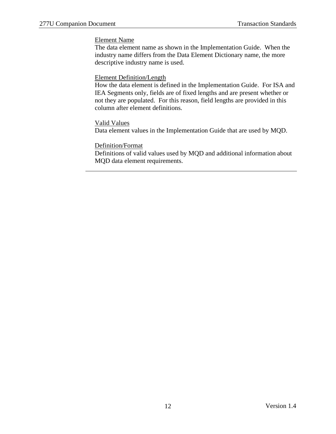#### Element Name

The data element name as shown in the Implementation Guide. When the industry name differs from the Data Element Dictionary name, the more descriptive industry name is used.

#### Element Definition/Length

How the data element is defined in the Implementation Guide. For ISA and IEA Segments only, fields are of fixed lengths and are present whether or not they are populated. For this reason, field lengths are provided in this column after element definitions.

#### Valid Values

Data element values in the Implementation Guide that are used by MQD.

#### Definition/Format

Definitions of valid values used by MQD and additional information about MQD data element requirements.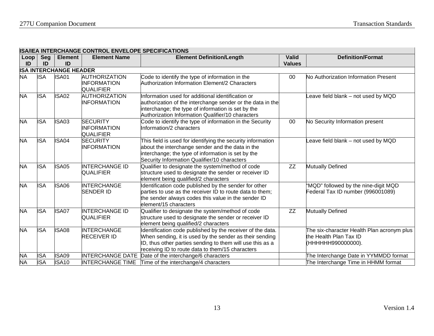|            | ISA/IEA INTERUMANUE CUNTRUL ENVELUFE SFEUIFIUATIUNS |                      |                                                                |                                                                                                                                                                                                                                        |                               |                                                                                            |  |  |
|------------|-----------------------------------------------------|----------------------|----------------------------------------------------------------|----------------------------------------------------------------------------------------------------------------------------------------------------------------------------------------------------------------------------------------|-------------------------------|--------------------------------------------------------------------------------------------|--|--|
| Loop<br>ID | Seg<br>ID                                           | <b>Element</b><br>ID | <b>Element Name</b>                                            | <b>Element Definition/Length</b>                                                                                                                                                                                                       | <b>Valid</b><br><b>Values</b> | <b>Definition/Format</b>                                                                   |  |  |
|            | <b>ISA INTERCHANGE HEADER</b>                       |                      |                                                                |                                                                                                                                                                                                                                        |                               |                                                                                            |  |  |
| <b>NA</b>  | <b>ISA</b>                                          | ISA01                | <b>AUTHORIZATION</b><br><b>INFORMATION</b><br><b>QUALIFIER</b> | Code to identify the type of information in the<br>Authorization Information Element/2 Characters                                                                                                                                      | 00                            | No Authorization Information Present                                                       |  |  |
| <b>NA</b>  | <b>ISA</b>                                          | ISA02                | <b>AUTHORIZATION</b><br>INFORMATION                            | Information used for additional identification or<br>authorization of the interchange sender or the data in the<br>interchange; the type of information is set by the<br>Authorization Information Qualifier/10 characters             |                               | eave field blank - not used by MQD                                                         |  |  |
| <b>NA</b>  | <b>ISA</b>                                          | ISA03                | <b>SECURITY</b><br><b>INFORMATION</b><br><b>QUALIFIER</b>      | Code to identify the type of information in the Security<br>Information/2 characters                                                                                                                                                   | 00                            | No Security Information present                                                            |  |  |
| <b>NA</b>  | <b>ISA</b>                                          | ISA04                | <b>SECURITY</b><br><b>INFORMATION</b>                          | This field is used for identifying the security information<br>about the interchange sender and the data in the<br>interchange; the type of information is set by the<br>Security Information Qualifier/10 characters                  |                               | eave field blank - not used by MQD                                                         |  |  |
| <b>NA</b>  | <b>ISA</b>                                          | ISA05                | <b>INTERCHANGE ID</b><br><b>QUALIFIER</b>                      | Qualifier to designate the system/method of code<br>structure used to designate the sender or receiver ID<br>element being qualified/2 characters                                                                                      | ZZ                            | <b>Mutually Defined</b>                                                                    |  |  |
| <b>NA</b>  | <b>ISA</b>                                          | ISA06                | <b>INTERCHANGE</b><br><b>SENDER ID</b>                         | Identification code published by the sender for other<br>parties to use as the receiver ID to route data to them;<br>the sender always codes this value in the sender ID<br>element/15 characters                                      |                               | "MQD" followed by the nine-digit MQD<br>Federal Tax ID number (996001089)                  |  |  |
| <b>NA</b>  | <b>ISA</b>                                          | ISA07                | <b>INTERCHANGE ID</b><br><b>QUALIFIER</b>                      | Qualifier to designate the system/method of code<br>structure used to designate the sender or receiver ID<br>element being qualified/2 characters                                                                                      | $\overline{ZZ}$               | <b>Mutually Defined</b>                                                                    |  |  |
| <b>NA</b>  | <b>ISA</b>                                          | <b>ISA08</b>         | <b>INTERCHANGE</b><br><b>RECEIVER ID</b>                       | Identification code published by the receiver of the data.<br>When sending, it is used by the sender as their sending<br>ID, thus other parties sending to them will use this as a<br>receiving ID to route data to them/15 characters |                               | The six-character Health Plan acronym plus<br>the Health Plan Tax ID<br>(НННННН990000000). |  |  |
| <b>NA</b>  | <b>ISA</b>                                          | <b>ISA09</b>         | <b>INTERCHANGE DATE</b>                                        | Date of the interchange/6 characters                                                                                                                                                                                                   |                               | The Interchange Date in YYMMDD format                                                      |  |  |
| <b>NA</b>  | <b>ISA</b>                                          | <b>ISA10</b>         |                                                                | INTERCHANGE TIME Time of the interchange/4 characters                                                                                                                                                                                  |                               | The Interchange Time in HHMM format                                                        |  |  |

### **ISA/IEA INTERCHANGE CONTROL ENVELOPE SPECIFICATIONS**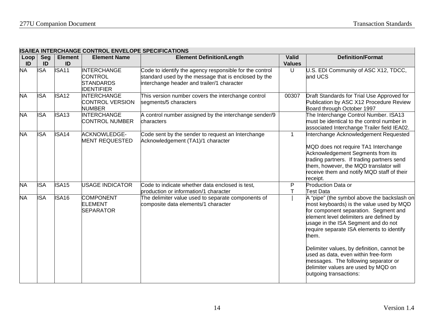$\overline{\phantom{0}}$ 

|            | ISA/IEA INTERCHANGE CONTROL ENVELOPE SPECIFICATIONS |                      |                                                                               |                                                                                                                                                               |                               |                                                                                                                                                                                                                                                                                                                                                                                                                                                                       |  |  |  |  |
|------------|-----------------------------------------------------|----------------------|-------------------------------------------------------------------------------|---------------------------------------------------------------------------------------------------------------------------------------------------------------|-------------------------------|-----------------------------------------------------------------------------------------------------------------------------------------------------------------------------------------------------------------------------------------------------------------------------------------------------------------------------------------------------------------------------------------------------------------------------------------------------------------------|--|--|--|--|
| Loop<br>ID | Seg<br>ID                                           | <b>Element</b><br>ID | <b>Element Name</b>                                                           | <b>Element Definition/Length</b>                                                                                                                              | <b>Valid</b><br><b>Values</b> | <b>Definition/Format</b>                                                                                                                                                                                                                                                                                                                                                                                                                                              |  |  |  |  |
| <b>NA</b>  | <b>ISA</b>                                          | <b>ISA11</b>         | <b>INTERCHANGE</b><br><b>CONTROL</b><br><b>STANDARDS</b><br><b>IDENTIFIER</b> | Code to identify the agency responsible for the control<br>standard used by the message that is enclosed by the<br>interchange header and trailer/1 character | U                             | J.S. EDI Community of ASC X12, TDCC,<br>and UCS                                                                                                                                                                                                                                                                                                                                                                                                                       |  |  |  |  |
| <b>NA</b>  | <b>ISA</b>                                          | <b>ISA12</b>         | <b>INTERCHANGE</b><br><b>CONTROL VERSION</b><br><b>NUMBER</b>                 | This version number covers the interchange control<br>segments/5 characters                                                                                   | 00307                         | Draft Standards for Trial Use Approved for<br>Publication by ASC X12 Procedure Review<br>Board through October 1997                                                                                                                                                                                                                                                                                                                                                   |  |  |  |  |
| <b>NA</b>  | <b>ISA</b>                                          | ISA <sub>13</sub>    | <b>INTERCHANGE</b><br><b>CONTROL NUMBER</b>                                   | A control number assigned by the interchange sender/9<br>characters                                                                                           |                               | The Interchange Control Number. ISA13<br>must be identical to the control number in<br>associated Interchange Trailer field IEA02.                                                                                                                                                                                                                                                                                                                                    |  |  |  |  |
| <b>NA</b>  | <b>ISA</b>                                          | ISA14                | <b>ACKNOWLEDGE-</b><br><b>MENT REQUESTED</b>                                  | Code sent by the sender to request an Interchange<br>Acknowledgement (TA1)/1 character                                                                        | $\mathbf{1}$                  | Interchange Acknowledgement Requested<br>MQD does not require TA1 Interchange<br>Acknowledgement Segments from its<br>rading partners. If trading partners send<br>hem, however, the MQD translator will<br>eceive them and notify MQD staff of their<br>eceipt.                                                                                                                                                                                                      |  |  |  |  |
| <b>NA</b>  | <b>ISA</b>                                          | ISA <sub>15</sub>    | <b>USAGE INDICATOR</b>                                                        | Code to indicate whether data enclosed is test,<br>production or information/1 character                                                                      | $\mathsf{P}$<br>Τ             | <b>Production Data or</b><br>Test Data                                                                                                                                                                                                                                                                                                                                                                                                                                |  |  |  |  |
| <b>NA</b>  | <b>ISA</b>                                          | <b>ISA16</b>         | <b>COMPONENT</b><br><b>ELEMENT</b><br><b>SEPARATOR</b>                        | The delimiter value used to separate components of<br>composite data elements/1 character                                                                     |                               | A "pipe" (the symbol above the backslash on<br>most keyboards) is the value used by MQD<br>for component separation. Segment and<br>element level delimiters are defined by<br>usage in the ISA Segment and do not<br>equire separate ISA elements to identify<br>them.<br>Delimiter values, by definition, cannot be<br>used as data, even within free-form<br>messages. The following separator or<br>delimiter values are used by MQD on<br>outgoing transactions: |  |  |  |  |

### **ISA/IEA INTERCHANGE CONTROL ENVELOPE SPECIFICATIONS**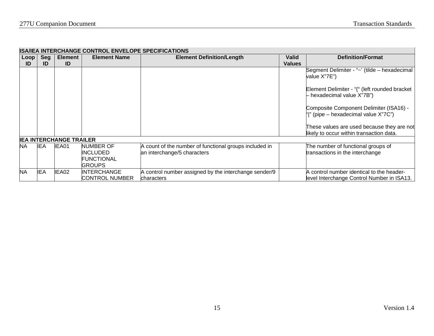|              | IISA/IEA INTERUHANGE CONTROL ENVELOPE SPECIFICATIONS |                                |                                                             |                                                                                       |                        |                                                                                         |  |  |  |
|--------------|------------------------------------------------------|--------------------------------|-------------------------------------------------------------|---------------------------------------------------------------------------------------|------------------------|-----------------------------------------------------------------------------------------|--|--|--|
| Loop  <br>ID | Seg<br>ID                                            | Element<br>ID                  | <b>Element Name</b>                                         | <b>Element Definition/Length</b>                                                      | Valid<br><b>Values</b> | <b>Definition/Format</b>                                                                |  |  |  |
|              |                                                      |                                |                                                             |                                                                                       |                        | Segment Delimiter - "~' (tilde – hexadecimal<br>value X"7E")                            |  |  |  |
|              |                                                      |                                |                                                             |                                                                                       |                        | Element Delimiter - "{" (left rounded bracket<br>- hexadecimal value X"7B")             |  |  |  |
|              |                                                      |                                |                                                             |                                                                                       |                        | Composite Component Delimiter (ISA16) -<br>" " (pipe – hexadecimal value X"7C")         |  |  |  |
|              |                                                      |                                |                                                             |                                                                                       |                        | These values are used because they are not<br>likely to occur within transaction data.  |  |  |  |
|              |                                                      | <b>IEA INTERCHANGE TRAILER</b> |                                                             |                                                                                       |                        |                                                                                         |  |  |  |
| <b>NA</b>    | IEA.                                                 | IEA01                          | NUMBER OF<br>INCLUDED<br><b>FUNCTIONAL</b><br><b>GROUPS</b> | A count of the number of functional groups included in<br>an interchange/5 characters |                        | The number of functional groups of<br>transactions in the interchange                   |  |  |  |
| <b>NA</b>    | <b>IEA</b>                                           | IEA02                          | INTERCHANGE<br>CONTROL NUMBER                               | A control number assigned by the interchange sender/9<br>characters                   |                        | A control number identical to the header-<br>level Interchange Control Number in ISA13. |  |  |  |

#### **ISA/IEA INTERCHANGE CONTROL ENVELOPE SPECIFICATIONS**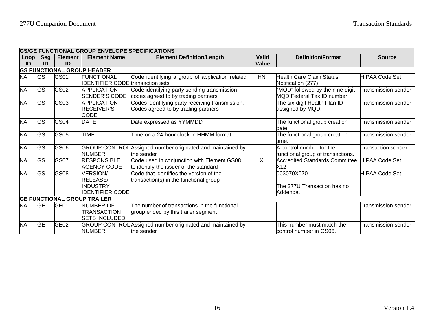$\overline{\phantom{0}}$ 

|            | <b>IGS/GE FUNCTIONAL GROUP ENVELOPE SPECIFICATIONS</b> |                      |                                                                   |                                                                                        |                |                                                               |                            |  |  |  |  |
|------------|--------------------------------------------------------|----------------------|-------------------------------------------------------------------|----------------------------------------------------------------------------------------|----------------|---------------------------------------------------------------|----------------------------|--|--|--|--|
| Loop<br>ID | Sea<br>ID                                              | <b>Element</b><br>ID | <b>Element Name</b>                                               | <b>Element Definition/Length</b>                                                       | Valid<br>Value | <b>Definition/Format</b>                                      | <b>Source</b>              |  |  |  |  |
|            | <b>GS FUNCTIONAL GROUP HEADER</b>                      |                      |                                                                   |                                                                                        |                |                                                               |                            |  |  |  |  |
| <b>NA</b>  | GS                                                     | GS01                 | <b>FUNCTIONAL</b><br><b>IDENTIFIER CODE</b> transaction sets      | Code identifying a group of application related                                        | HN             | Health Care Claim Status<br>Notification (277)                | <b>HIPAA Code Set</b>      |  |  |  |  |
| <b>NA</b>  | GS                                                     | GS02                 | <b>APPLICATION</b><br>SENDER'S CODE                               | Code identifying party sending transmission;<br>codes agreed to by trading partners    |                | 'MQD" followed by the nine-digit<br>MQD Federal Tax ID number | <b>Transmission sender</b> |  |  |  |  |
| <b>NA</b>  | <b>GS</b>                                              | GS03                 | <b>APPLICATION</b><br><b>RECEIVER'S</b><br><b>CODE</b>            | Codes identifying party receiving transmission.<br>Codes agreed to by trading partners |                | The six-digit Health Plan ID<br>assigned by MQD.              | Transmission sender        |  |  |  |  |
| <b>NA</b>  | GS                                                     | GS04                 | <b>DATE</b>                                                       | Date expressed as YYMMDD                                                               |                | The functional group creation<br>date.                        | Transmission sender        |  |  |  |  |
| <b>NA</b>  | GS                                                     | GS05                 | <b>TIME</b>                                                       | Time on a 24-hour clock in HHMM format.                                                |                | The functional group creation<br>time.                        | Transmission sender        |  |  |  |  |
| <b>NA</b>  | GS                                                     | GS06                 | <b>NUMBER</b>                                                     | GROUP CONTROL Assigned number originated and maintained by<br>the sender               |                | A control number for the<br>functional group of transactions. | Transaction sender         |  |  |  |  |
| <b>NA</b>  | GS                                                     | GS07                 | <b>RESPONSIBLE</b><br><b>AGENCY CODE</b>                          | Code used in conjunction with Element GS08<br>to identify the issuer of the standard   | $\mathsf{X}$   | <b>Accredited Standards Committee</b><br>X12                  | <b>HIPAA Code Set</b>      |  |  |  |  |
| <b>NA</b>  | GS                                                     | GS08                 | <b>VERSION/</b><br>RELEASE/<br>INDUSTRY<br><b>IDENTIFIER CODE</b> | Code that identifies the version of the<br>transaction(s) in the functional group      |                | 003070X070<br>The 277U Transaction has no<br>Addenda.         | <b>HIPAA Code Set</b>      |  |  |  |  |
|            |                                                        |                      | <b>GE FUNCTIONAL GROUP TRAILER</b>                                |                                                                                        |                |                                                               |                            |  |  |  |  |
| <b>NA</b>  | GE                                                     | GE01                 | <b>NUMBER OF</b><br><b>TRANSACTION</b><br><b>SETS INCLUDED</b>    | The number of transactions in the functional<br>group ended by this trailer segment    |                |                                                               | Transmission sender        |  |  |  |  |
| <b>NA</b>  | <b>GE</b>                                              | GE <sub>02</sub>     | <b>NUMBER</b>                                                     | GROUP CONTROL Assigned number originated and maintained by<br>the sender               |                | This number must match the<br>control number in GS06.         | Transmission sender        |  |  |  |  |

### **GS/GE FUNCTIONAL GROUP ENVELOPE SPECIFICATIONS**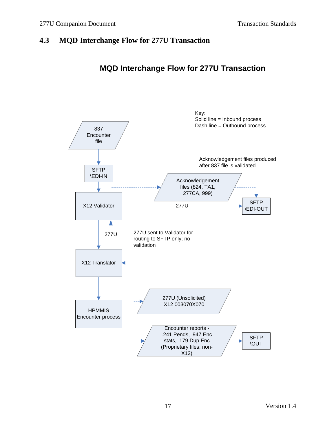## <span id="page-19-0"></span>**4.3 MQD Interchange Flow for 277U Transaction**

# **MQD Interchange Flow for 277U Transaction**

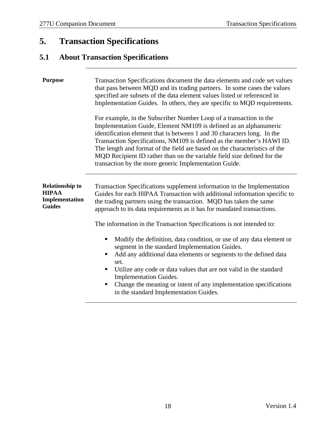# <span id="page-20-0"></span>**5. Transaction Specifications**

# <span id="page-20-1"></span>**5.1 About Transaction Specifications**

| <b>Purpose</b><br>Transaction Specifications document the data elements and code set values<br>that pass between MQD and its trading partners. In some cases the values<br>specified are subsets of the data element values listed or referenced in<br>Implementation Guides. In others, they are specific to MQD requirements.<br>For example, in the Subscriber Number Loop of a transaction in the |                                                                                                                                                                                                                                                                                                                                                                                                                                                      |  |  |  |  |
|-------------------------------------------------------------------------------------------------------------------------------------------------------------------------------------------------------------------------------------------------------------------------------------------------------------------------------------------------------------------------------------------------------|------------------------------------------------------------------------------------------------------------------------------------------------------------------------------------------------------------------------------------------------------------------------------------------------------------------------------------------------------------------------------------------------------------------------------------------------------|--|--|--|--|
|                                                                                                                                                                                                                                                                                                                                                                                                       | Implementation Guide, Element NM109 is defined as an alphanumeric<br>identification element that is between 1 and 30 characters long. In the<br>Transaction Specifications, NM109 is defined as the member's HAWI ID.<br>The length and format of the field are based on the characteristics of the<br>MQD Recipient ID rather than on the variable field size defined for the<br>transaction by the more generic Implementation Guide.              |  |  |  |  |
| <b>Relationship to</b><br><b>HIPAA</b><br>Implementation<br><b>Guides</b>                                                                                                                                                                                                                                                                                                                             | Transaction Specifications supplement information in the Implementation<br>Guides for each HIPAA Transaction with additional information specific to<br>the trading partners using the transaction. MQD has taken the same<br>approach to its data requirements as it has for mandated transactions.                                                                                                                                                 |  |  |  |  |
|                                                                                                                                                                                                                                                                                                                                                                                                       | The information in the Transaction Specifications is not intended to:                                                                                                                                                                                                                                                                                                                                                                                |  |  |  |  |
|                                                                                                                                                                                                                                                                                                                                                                                                       | Modify the definition, data condition, or use of any data element or<br>segment in the standard Implementation Guides.<br>Add any additional data elements or segments to the defined data<br>ш<br>set.<br>Utilize any code or data values that are not valid in the standard<br>$\blacksquare$<br><b>Implementation Guides.</b><br>Change the meaning or intent of any implementation specifications<br>п<br>in the standard Implementation Guides. |  |  |  |  |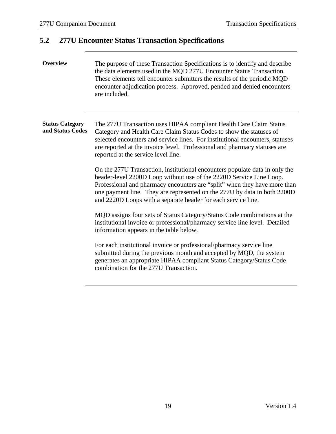### <span id="page-21-0"></span>**5.2 277U Encounter Status Transaction Specifications**

### **Overview** The purpose of these Transaction Specifications is to identify and describe the data elements used in the MQD 277U Encounter Status Transaction. These elements tell encounter submitters the results of the periodic MQD encounter adjudication process. Approved, pended and denied encounters are included.

#### **Status Category and Status Codes** The 277U Transaction uses HIPAA compliant Health Care Claim Status Category and Health Care Claim Status Codes to show the statuses of selected encounters and service lines. For institutional encounters, statuses are reported at the invoice level. Professional and pharmacy statuses are reported at the service level line.

On the 277U Transaction, institutional encounters populate data in only the header-level 2200D Loop without use of the 2220D Service Line Loop. Professional and pharmacy encounters are "split" when they have more than one payment line. They are represented on the 277U by data in both 2200D and 2220D Loops with a separate header for each service line.

MQD assigns four sets of Status Category/Status Code combinations at the institutional invoice or professional/pharmacy service line level. Detailed information appears in the table below.

For each institutional invoice or professional/pharmacy service line submitted during the previous month and accepted by MQD, the system generates an appropriate HIPAA compliant Status Category/Status Code combination for the 277U Transaction.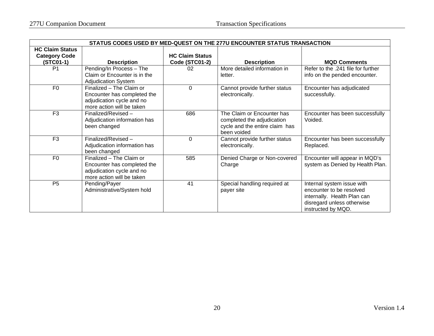| STATUS CODES USED BY MED-QUEST ON THE 277U ENCOUNTER STATUS TRANSACTION |                                                                                                                   |                                          |                                                                                                           |                                                                                                                                           |  |  |  |  |  |
|-------------------------------------------------------------------------|-------------------------------------------------------------------------------------------------------------------|------------------------------------------|-----------------------------------------------------------------------------------------------------------|-------------------------------------------------------------------------------------------------------------------------------------------|--|--|--|--|--|
| <b>HC Claim Status</b><br><b>Category Code</b><br>$(STCO1-1)$           | <b>Description</b>                                                                                                | <b>HC Claim Status</b><br>Code (STC01-2) | <b>Description</b>                                                                                        | <b>MQD Comments</b>                                                                                                                       |  |  |  |  |  |
| P <sub>1</sub>                                                          | Pending/In Process - The<br>Claim or Encounter is in the<br><b>Adjudication System</b>                            | 02                                       | More detailed information in<br>letter.                                                                   | Refer to the .241 file for further<br>info on the pended encounter.                                                                       |  |  |  |  |  |
| F <sub>0</sub>                                                          | Finalized - The Claim or<br>Encounter has completed the<br>adjudication cycle and no<br>more action will be taken | $\Omega$                                 | Cannot provide further status<br>electronically.                                                          | Encounter has adjudicated<br>successfully.                                                                                                |  |  |  |  |  |
| F <sub>3</sub>                                                          | Finalized/Revised -<br>Adjudication information has<br>been changed                                               | 686                                      | The Claim or Encounter has<br>completed the adjudication<br>cycle and the entire claim has<br>been voided | Encounter has been successfully<br>Voided.                                                                                                |  |  |  |  |  |
| F <sub>3</sub>                                                          | Finalized/Revised -<br>Adjudication information has<br>been changed                                               | $\Omega$                                 | Cannot provide further status<br>electronically.                                                          | Encounter has been successfully<br>Replaced.                                                                                              |  |  |  |  |  |
| F <sub>0</sub>                                                          | Finalized - The Claim or<br>Encounter has completed the<br>adjudication cycle and no<br>more action will be taken | 585                                      | Denied Charge or Non-covered<br>Charge                                                                    | Encounter will appear in MQD's<br>system as Denied by Health Plan.                                                                        |  |  |  |  |  |
| P <sub>5</sub>                                                          | Pending/Payer<br>Administrative/System hold                                                                       | 41                                       | Special handling required at<br>payer site                                                                | Internal system issue with<br>encounter to be resolved<br>internally. Health Plan can<br>disregard unless otherwise<br>instructed by MQD. |  |  |  |  |  |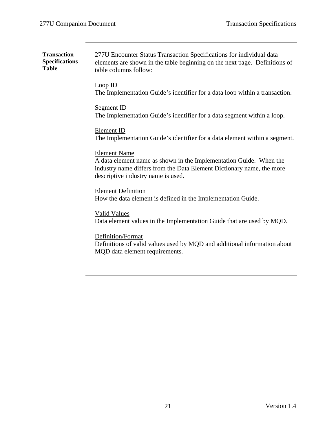| <b>Transaction</b><br><b>Specifications</b><br><b>Table</b> | 277U Encounter Status Transaction Specifications for individual data<br>elements are shown in the table beginning on the next page. Definitions of<br>table columns follow:                              |
|-------------------------------------------------------------|----------------------------------------------------------------------------------------------------------------------------------------------------------------------------------------------------------|
|                                                             | Loop ID<br>The Implementation Guide's identifier for a data loop within a transaction.                                                                                                                   |
|                                                             | Segment ID<br>The Implementation Guide's identifier for a data segment within a loop.                                                                                                                    |
|                                                             | Element ID<br>The Implementation Guide's identifier for a data element within a segment.                                                                                                                 |
|                                                             | <b>Element Name</b><br>A data element name as shown in the Implementation Guide. When the<br>industry name differs from the Data Element Dictionary name, the more<br>descriptive industry name is used. |
|                                                             | <b>Element Definition</b><br>How the data element is defined in the Implementation Guide.                                                                                                                |
|                                                             | <b>Valid Values</b><br>Data element values in the Implementation Guide that are used by MQD.                                                                                                             |
|                                                             | Definition/Format<br>Definitions of valid values used by MQD and additional information about<br>MQD data element requirements.                                                                          |
|                                                             |                                                                                                                                                                                                          |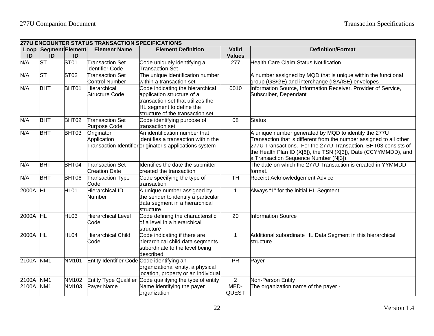|                       | <b>277U ENCOUNTER STATUS TRANSACTION SPECIFICATIONS</b> |                  |                                                 |                                                                                                                                                                     |                      |                                                                                                                                                                                                                                                                                                            |  |  |  |  |
|-----------------------|---------------------------------------------------------|------------------|-------------------------------------------------|---------------------------------------------------------------------------------------------------------------------------------------------------------------------|----------------------|------------------------------------------------------------------------------------------------------------------------------------------------------------------------------------------------------------------------------------------------------------------------------------------------------------|--|--|--|--|
|                       | Loop Segment Element                                    |                  | <b>Element Name</b>                             | <b>Element Definition</b>                                                                                                                                           | <b>Valid</b>         | <b>Definition/Format</b>                                                                                                                                                                                                                                                                                   |  |  |  |  |
| ID                    | ID                                                      | ID               |                                                 |                                                                                                                                                                     | <b>Values</b>        |                                                                                                                                                                                                                                                                                                            |  |  |  |  |
| N/A                   | <b>ST</b>                                               | ST01             | <b>Transaction Set</b><br>Identifier Code       | Code uniquely identifying a<br><b>Transaction Set</b>                                                                                                               | 277                  | <b>Health Care Claim Status Notification</b>                                                                                                                                                                                                                                                               |  |  |  |  |
| N/A                   | <b>ST</b>                                               | ST <sub>02</sub> | <b>Transaction Set</b><br><b>Control Number</b> | The unique identification number<br>within a transaction set                                                                                                        |                      | A number assigned by MQD that is unique within the functional<br>group (GS/GE) and interchange (ISA/ISE) envelopes                                                                                                                                                                                         |  |  |  |  |
| N/A                   | <b>BHT</b>                                              | BHT01            | Hierarchical<br><b>Structure Code</b>           | Code indicating the hierarchical<br>application structure of a<br>transaction set that utilizes the<br>HL segment to define the<br>structure of the transaction set | 0010                 | Information Source, Information Receiver, Provider of Service,<br>Subscriber, Dependant                                                                                                                                                                                                                    |  |  |  |  |
| N/A                   | <b>BHT</b>                                              | BHT02            | <b>Transaction Set</b><br>Purpose Code          | Code identifying purpose of<br>transaction set                                                                                                                      | 08                   | <b>Status</b>                                                                                                                                                                                                                                                                                              |  |  |  |  |
| N/A                   | <b>BHT</b>                                              | BHT03            | Originator<br>Application                       | An identification number that<br>identifies a transaction within the<br>Transaction Identifier originator's applications system                                     |                      | A unique number generated by MQD to identify the 277U<br>Transaction that is different from the number assigned to all other<br>277U Transactions. For the 277U Transaction, BHT03 consists of<br>the Health Plan ID (X[6]), the TSN (X[3]), Date (CCYYMMDD), and<br>a Transaction Sequence Number (N[3]). |  |  |  |  |
| N/A                   | <b>BHT</b>                                              | BHT04            | <b>Transaction Set</b><br><b>Creation Date</b>  | Identifies the date the submitter<br>created the transaction                                                                                                        |                      | The date on which the 277U Transaction is created in YYMMDD<br>format.                                                                                                                                                                                                                                     |  |  |  |  |
| N/A                   | <b>BHT</b>                                              | BHT06            | <b>Transaction Type</b><br>Code                 | Code specifying the type of<br>transaction                                                                                                                          | <b>TH</b>            | Receipt Acknowledgement Advice                                                                                                                                                                                                                                                                             |  |  |  |  |
| $2000\overline{A}$ HL |                                                         | HL01             | <b>Hierarchical ID</b><br>Number                | A unique number assigned by<br>the sender to identify a particular<br>data segment in a hierarchical<br>structure                                                   | $\mathbf{1}$         | Always "1" for the initial HL Segment                                                                                                                                                                                                                                                                      |  |  |  |  |
| 2000A HL              |                                                         | HL <sub>03</sub> | <b>Hierarchical Level</b><br>Code               | Code defining the characteristic<br>of a level in a hierarchical<br>structure                                                                                       | 20                   | <b>Information Source</b>                                                                                                                                                                                                                                                                                  |  |  |  |  |
| 2000A HL              |                                                         | HL <sub>04</sub> | <b>Hierarchical Child</b><br>Code               | Code indicating if there are<br>hierarchical child data segments<br>subordinate to the level being<br>described                                                     | $\mathbf{1}$         | Additional subordinate HL Data Segment in this hierarchical<br>structure                                                                                                                                                                                                                                   |  |  |  |  |
| 2100A                 | NM <sub>1</sub>                                         | NM101            | Entity Identifier Code Code identifying an      | organizational entity, a physical<br>location, property or an individual                                                                                            | <b>PR</b>            | Payer                                                                                                                                                                                                                                                                                                      |  |  |  |  |
| 2100A NM1             |                                                         | NM102            | <b>Entity Type Qualifier</b>                    | Code qualifying the type of entity                                                                                                                                  | $\overline{2}$       | Non-Person Entity                                                                                                                                                                                                                                                                                          |  |  |  |  |
| 2100A                 | NM <sub>1</sub>                                         | NM103            | Payer Name                                      | Name identifying the payer<br>organization                                                                                                                          | MED-<br><b>QUEST</b> | The organization name of the payer -                                                                                                                                                                                                                                                                       |  |  |  |  |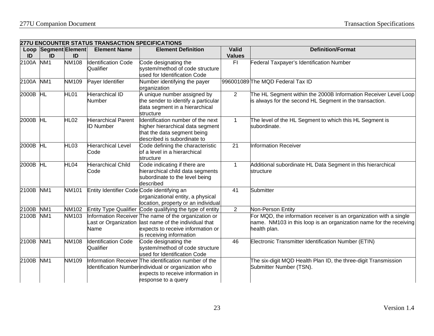|           | <b>277U ENCOUNTER STATUS TRANSACTION SPECIFICATIONS</b> |                  |                                                |                                                                                                                                                                          |                |                                                                                                                                                         |  |  |  |
|-----------|---------------------------------------------------------|------------------|------------------------------------------------|--------------------------------------------------------------------------------------------------------------------------------------------------------------------------|----------------|---------------------------------------------------------------------------------------------------------------------------------------------------------|--|--|--|
|           | Loop Segment Element                                    |                  | <b>Element Name</b>                            | <b>Element Definition</b>                                                                                                                                                | <b>Valid</b>   | <b>Definition/Format</b>                                                                                                                                |  |  |  |
| ID        | ID                                                      | ID               |                                                |                                                                                                                                                                          | <b>Values</b>  |                                                                                                                                                         |  |  |  |
| 2100A     | NM <sub>1</sub>                                         | <b>NM108</b>     | <b>Identification Code</b><br>Qualifier        | Code designating the<br>system/method of code structure<br>used for Identification Code                                                                                  | F <sub>1</sub> | Federal Taxpayer's Identification Number                                                                                                                |  |  |  |
| 2100A     | NM <sub>1</sub>                                         | <b>NM109</b>     | Payer Identifier                               | Number identifying the payer<br>organization                                                                                                                             |                | 996001089 The MQD Federal Tax ID                                                                                                                        |  |  |  |
| 2000B HL  |                                                         | HL01             | <b>Hierarchical ID</b><br>Number               | A unique number assigned by<br>the sender to identify a particular<br>data segment in a hierarchical<br>structure                                                        | 2              | The HL Segment within the 2000B Information Receiver Level Loop<br>is always for the second HL Segment in the transaction.                              |  |  |  |
| 2000B HL  |                                                         | HL <sub>02</sub> | <b>Hierarchical Parent</b><br><b>ID Number</b> | Identification number of the next<br>higher hierarchical data segment<br>that the data segment being<br>described is subordinate to                                      | $\mathbf{1}$   | The level of the HL Segment to which this HL Segment is<br>subordinate.                                                                                 |  |  |  |
| 2000B HL  |                                                         | HL <sub>03</sub> | <b>Hierarchical Level</b><br>Code              | Code defining the characteristic<br>of a level in a hierarchical<br>structure                                                                                            | 21             | Information Receiver                                                                                                                                    |  |  |  |
| 2000B HL  |                                                         | HL04             | <b>Hierarchical Child</b><br>Code              | Code indicating if there are<br>hierarchical child data segments<br>subordinate to the level being<br>described                                                          | 1              | Additional subordinate HL Data Segment in this hierarchical<br>structure                                                                                |  |  |  |
| 2100B     | NM <sub>1</sub>                                         | <b>NM101</b>     | Entity Identifier Code Code identifying an     | organizational entity, a physical<br>location, property or an individual                                                                                                 | 41             | Submitter                                                                                                                                               |  |  |  |
| 2100B     | NM <sub>1</sub>                                         | NM102            | <b>Entity Type Qualifier</b>                   | Code qualifying the type of entity                                                                                                                                       | $\overline{2}$ | Non-Person Entity                                                                                                                                       |  |  |  |
| 2100B     | NM <sub>1</sub>                                         | NM103            | ast or Organization<br>Name                    | Information Receiver The name of the organization or<br>last name of the individual that<br>expects to receive information or<br>is receiving information                |                | For MQD, the information receiver is an organization with a single<br>hame. NM103 in this loop is an organization name for the receiving<br>ealth plan. |  |  |  |
| 2100B NM1 |                                                         | <b>NM108</b>     | <b>Identification Code</b><br>Qualifier        | Code designating the<br>system/method of code structure<br>used for Identification Code                                                                                  | 46             | Electronic Transmitter Identification Number (ETIN)                                                                                                     |  |  |  |
| 2100B NM1 |                                                         | <b>NM109</b>     |                                                | Information Receiver The identification number of the<br>Identification Numberindividual or organization who<br>expects to receive information in<br>response to a query |                | The six-digit MQD Health Plan ID, the three-digit Transmission<br>Submitter Number (TSN).                                                               |  |  |  |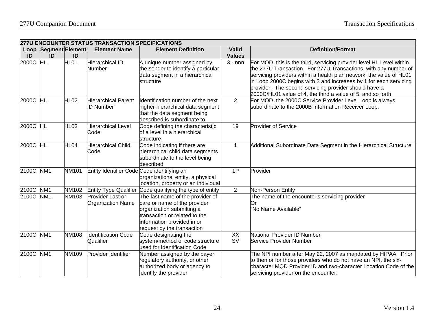|                                |                      |                  | <b>277U ENCOUNTER STATUS TRANSACTION SPECIFICATIONS</b> |                                                                                                                                                                                            |                 |                                                                                                                                                                                                                                                                                                                                                                                                              |
|--------------------------------|----------------------|------------------|---------------------------------------------------------|--------------------------------------------------------------------------------------------------------------------------------------------------------------------------------------------|-----------------|--------------------------------------------------------------------------------------------------------------------------------------------------------------------------------------------------------------------------------------------------------------------------------------------------------------------------------------------------------------------------------------------------------------|
|                                | Loop Segment Element |                  | <b>Element Name</b>                                     | <b>Element Definition</b>                                                                                                                                                                  | <b>Valid</b>    | <b>Definition/Format</b>                                                                                                                                                                                                                                                                                                                                                                                     |
| ID                             | ID                   | ID               |                                                         |                                                                                                                                                                                            | <b>Values</b>   |                                                                                                                                                                                                                                                                                                                                                                                                              |
| 2000C $\overline{\mathsf{HL}}$ |                      | HL01             | Hierarchical ID<br>Number                               | A unique number assigned by<br>the sender to identify a particular<br>data segment in a hierarchical<br>structure                                                                          | $3 - nnn$       | For MQD, this is the third, servicing provider level HL Level within<br>the 277U Transaction. For 277U Transactions, with any number of<br>servicing providers within a health plan network, the value of HL01<br>in Loop 2000C begins with 3 and increases by 1 for each servicing<br>provider. The second servicing provider should have a<br>2000C/HL01 value of 4, the third a value of 5, and so forth. |
| 2000C HL                       |                      | <b>HL02</b>      | Hierarchical Parent<br>D Number                         | Identification number of the next<br>higher hierarchical data segment<br>that the data segment being<br>described is subordinate to                                                        | $\overline{2}$  | For MQD, the 2000C Service Provider Level Loop is always<br>subordinate to the 2000B Information Receiver Loop.                                                                                                                                                                                                                                                                                              |
| 2000C HL                       |                      | HL <sub>03</sub> | Hierarchical Level<br>Code                              | Code defining the characteristic<br>of a level in a hierarchical<br>structure                                                                                                              | 19              | <b>Provider of Service</b>                                                                                                                                                                                                                                                                                                                                                                                   |
| 2000C HL                       |                      | HL04             | <b>Hierarchical Child</b><br>Code                       | Code indicating if there are<br>hierarchical child data segments<br>subordinate to the level being<br>described                                                                            |                 | Additional Subordinate Data Segment in the Hierarchical Structure                                                                                                                                                                                                                                                                                                                                            |
| 2100C NM1                      |                      | <b>NM101</b>     | Entity Identifier Code Code identifying an              | organizational entity, a physical<br>location, property or an individual                                                                                                                   | 1P              | Provider                                                                                                                                                                                                                                                                                                                                                                                                     |
| 2100C NM1                      |                      | <b>NM102</b>     | <b>Entity Type Qualifier</b>                            | Code qualifying the type of entity                                                                                                                                                         | $\overline{2}$  | Non-Person Entity                                                                                                                                                                                                                                                                                                                                                                                            |
| 2100C NM1                      |                      | <b>NM103</b>     | Provider Last or<br><b>Organization Name</b>            | The last name of the provider of<br>care or name of the provider<br>organization submitting a<br>transaction or related to the<br>information provided in or<br>request by the transaction |                 | The name of the encounter's servicing provider<br>Or<br>"No Name Available"                                                                                                                                                                                                                                                                                                                                  |
| 2100C NM1                      |                      | <b>NM108</b>     | dentification Code<br>Qualifier                         | Code designating the<br>system/method of code structure<br>used for Identification Code                                                                                                    | XX<br><b>SV</b> | National Provider ID Number<br>Service Provider Number                                                                                                                                                                                                                                                                                                                                                       |
| 2100C NM1                      |                      | <b>NM109</b>     | Provider Identifier                                     | Number assigned by the payer,<br>regulatory authority, or other<br>authorized body or agency to<br>identify the provider                                                                   |                 | The NPI number after May 22, 2007 as mandated by HIPAA. Prior<br>to then or for those providers who do not have an NPI, the six-<br>character MQD Provider ID and two-character Location Code of the<br>servicing provider on the encounter.                                                                                                                                                                 |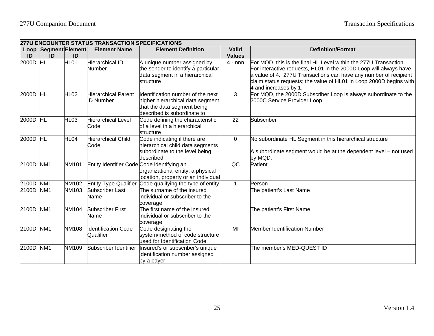|            | <b>277U ENCOUNTER STATUS TRANSACTION SPECIFICATIONS</b> |                  |                                                |                                                                                                                                     |                               |                                                                                                                                                                                                                                                                                                          |  |  |  |  |
|------------|---------------------------------------------------------|------------------|------------------------------------------------|-------------------------------------------------------------------------------------------------------------------------------------|-------------------------------|----------------------------------------------------------------------------------------------------------------------------------------------------------------------------------------------------------------------------------------------------------------------------------------------------------|--|--|--|--|
| Loop<br>ID | Segment Element<br>ID                                   | ID               | <b>Element Name</b>                            | <b>Element Definition</b>                                                                                                           | <b>Valid</b><br><b>Values</b> | <b>Definition/Format</b>                                                                                                                                                                                                                                                                                 |  |  |  |  |
| 2000D HL   |                                                         | HL <sub>01</sub> | <b>Hierarchical ID</b><br>Number               | A unique number assigned by<br>the sender to identify a particular<br>data segment in a hierarchical<br>structure                   | $4 - nnn$                     | For MQD, this is the final HL Level within the 277U Transaction.<br>For interactive requests, HL01 in the 2000D Loop will always have<br>a value of 4. 277U Transactions can have any number of recipient<br>claim status requests; the value of HL01 in Loop 2000D begins with<br>4 and increases by 1. |  |  |  |  |
| 2000D HL   |                                                         | HL <sub>02</sub> | <b>Hierarchical Parent</b><br><b>ID Number</b> | Identification number of the next<br>higher hierarchical data segment<br>that the data segment being<br>described is subordinate to | 3                             | For MQD, the 2000D Subscriber Loop is always subordinate to the<br>2000C Service Provider Loop.                                                                                                                                                                                                          |  |  |  |  |
| 2000D HL   |                                                         | HL <sub>03</sub> | <b>Hierarchical Level</b><br>Code              | Code defining the characteristic<br>of a level in a hierarchical<br>structure                                                       | 22                            | Subscriber                                                                                                                                                                                                                                                                                               |  |  |  |  |
| 2000D HL   |                                                         | HL04             | <b>Hierarchical Child</b><br>Code              | Code indicating if there are<br>hierarchical child data segments<br>subordinate to the level being<br>described                     | $\mathbf 0$                   | No subordinate HL Segment in this hierarchical structure<br>A subordinate segment would be at the dependent level – not used<br>by MQD.                                                                                                                                                                  |  |  |  |  |
| 2100D      | NM <sub>1</sub>                                         | NM101            | Entity Identifier Code Code identifying an     | organizational entity, a physical<br>location, property or an individual                                                            | QC                            | Patient                                                                                                                                                                                                                                                                                                  |  |  |  |  |
| 2100D      | NM <sub>1</sub>                                         | NM102            | <b>Entity Type Qualifier</b>                   | Code qualifying the type of entity                                                                                                  |                               | Person                                                                                                                                                                                                                                                                                                   |  |  |  |  |
| 2100D      | NM <sub>1</sub>                                         | NM103            | Subscriber Last<br>Name                        | The surname of the insured<br>individual or subscriber to the<br>coverage                                                           |                               | The patient's Last Name                                                                                                                                                                                                                                                                                  |  |  |  |  |
| 2100D      | NM <sub>1</sub>                                         | NM104            | <b>Subscriber First</b><br>Name                | The first name of the insured<br>individual or subscriber to the<br>coverage                                                        |                               | The patient's First Name                                                                                                                                                                                                                                                                                 |  |  |  |  |
| 2100D      | NM <sub>1</sub>                                         | NM108            | <b>Identification Code</b><br>Qualifier        | Code designating the<br>system/method of code structure<br>used for Identification Code                                             | MI                            | <b>Member Identification Number</b>                                                                                                                                                                                                                                                                      |  |  |  |  |
| 2100D      | NM <sub>1</sub>                                         | NM109            | Subscriber Identifier                          | Insured's or subscriber's unique<br>identification number assigned<br>by a payer                                                    |                               | The member's MED-QUEST ID                                                                                                                                                                                                                                                                                |  |  |  |  |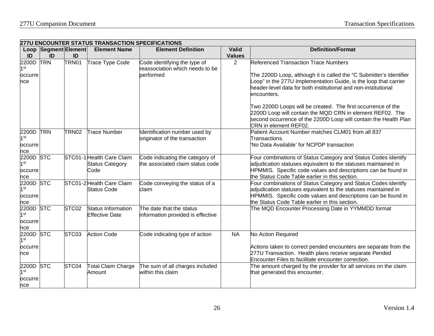|                              | <b>277U ENCOUNTER STATUS TRANSACTION SPECIFICATIONS</b> |                   |                           |                                                                     |                |                                                                                                                 |  |  |  |
|------------------------------|---------------------------------------------------------|-------------------|---------------------------|---------------------------------------------------------------------|----------------|-----------------------------------------------------------------------------------------------------------------|--|--|--|
|                              | <b>Loop Segment Element</b>                             |                   | <b>Element Name</b>       | <b>Element Definition</b>                                           | <b>Valid</b>   | <b>Definition/Format</b>                                                                                        |  |  |  |
| ID                           | ID                                                      | ID                |                           |                                                                     | <b>Values</b>  |                                                                                                                 |  |  |  |
| 2200D<br>1st                 | <b>TRN</b>                                              | TRN01             | Trace Type Code           | Code identifying the type of<br>reassociation which needs to be     | $\overline{2}$ | <b>Referenced Transaction Trace Numbers</b>                                                                     |  |  |  |
| occurre                      |                                                         |                   |                           | performed                                                           |                | The 2200D Loop, although it is called the "C Submitter's Identifier                                             |  |  |  |
| nce                          |                                                         |                   |                           |                                                                     |                | Loop" in the 277U Implementation Guide, is the loop that carrier                                                |  |  |  |
|                              |                                                         |                   |                           |                                                                     |                | header-level data for both institutional and non-institutional                                                  |  |  |  |
|                              |                                                         |                   |                           |                                                                     |                | encounters.                                                                                                     |  |  |  |
|                              |                                                         |                   |                           |                                                                     |                | Two 2200D Loops will be created. The first occurrence of the                                                    |  |  |  |
|                              |                                                         |                   |                           |                                                                     |                | 2200D Loop will contain the MQD CRN in element REF02. The                                                       |  |  |  |
|                              |                                                         |                   |                           |                                                                     |                | second occurrence of the 2200D Loop will contain the Health Plan                                                |  |  |  |
|                              |                                                         |                   |                           |                                                                     |                | CRN in element REF02.                                                                                           |  |  |  |
| <b>2200D TRN</b>             |                                                         | TRN <sub>02</sub> | <b>Trace Number</b>       | Identification number used by                                       |                | Patient Account Number matches CLM01 from all 837                                                               |  |  |  |
| 1 <sub>st</sub>              |                                                         |                   |                           | originator of the transaction                                       |                | Transactions.                                                                                                   |  |  |  |
| occurre                      |                                                         |                   |                           |                                                                     |                | No Data Available' for NCPDP transaction                                                                        |  |  |  |
| nce                          |                                                         |                   |                           |                                                                     |                |                                                                                                                 |  |  |  |
| 2200D STC<br>1 <sub>st</sub> |                                                         |                   | STC01-1 Health Care Claim | Code indicating the category of<br>the associated claim status code |                | Four combinations of Status Category and Status Codes identify                                                  |  |  |  |
|                              |                                                         |                   | <b>Status Category</b>    |                                                                     |                | adjudication statuses equivalent to the statuses maintained in                                                  |  |  |  |
| occurre                      |                                                         |                   | Code                      |                                                                     |                | HPMMIS. Specific code values and descriptions can be found in<br>the Status Code Table earlier in this section. |  |  |  |
| nce<br>2200D STC             |                                                         |                   | STC01-2 Health Care Claim | Code conveying the status of a                                      |                | Four combinations of Status Category and Status Codes identify                                                  |  |  |  |
| $1$ st                       |                                                         |                   | <b>Status Code</b>        | claim                                                               |                | adjudication statuses equivalent to the statuses maintained in                                                  |  |  |  |
| occurre                      |                                                         |                   |                           |                                                                     |                | HPMMIS. Specific code values and descriptions can be found in                                                   |  |  |  |
| nce                          |                                                         |                   |                           |                                                                     |                | the Status Code Table earlier in this section.                                                                  |  |  |  |
| 2200D STC                    |                                                         | STC <sub>02</sub> | <b>Status Information</b> | The date that the status                                            |                | The MQD Encounter Processing Date in YYMMDD format                                                              |  |  |  |
| 1 <sub>st</sub>              |                                                         |                   | <b>Effective Date</b>     | information provided is effective                                   |                |                                                                                                                 |  |  |  |
| occurre                      |                                                         |                   |                           |                                                                     |                |                                                                                                                 |  |  |  |
| nce                          |                                                         |                   |                           |                                                                     |                |                                                                                                                 |  |  |  |
| 2200D                        | <b>STC</b>                                              | STC03             | <b>Action Code</b>        | Code indicating type of action                                      | <b>NA</b>      | No Action Required                                                                                              |  |  |  |
| 1st                          |                                                         |                   |                           |                                                                     |                |                                                                                                                 |  |  |  |
| occurre                      |                                                         |                   |                           |                                                                     |                | Actions taken to correct pended encounters are separate from the                                                |  |  |  |
| nce                          |                                                         |                   |                           |                                                                     |                | 277U Transaction. Health plans receive separate Pended                                                          |  |  |  |
|                              |                                                         |                   |                           |                                                                     |                | Encounter Files to facilitate encounter correction.                                                             |  |  |  |
| 2200D                        | <b>STC</b>                                              | STC04             | <b>Total Claim Charge</b> | The sum of all charges included                                     |                | The amount charged by the provider for all services on the claim                                                |  |  |  |
| 1 <sub>st</sub>              |                                                         |                   | Amount                    | within this claim                                                   |                | that generated this encounter.                                                                                  |  |  |  |
| occurre                      |                                                         |                   |                           |                                                                     |                |                                                                                                                 |  |  |  |
| nce                          |                                                         |                   |                           |                                                                     |                |                                                                                                                 |  |  |  |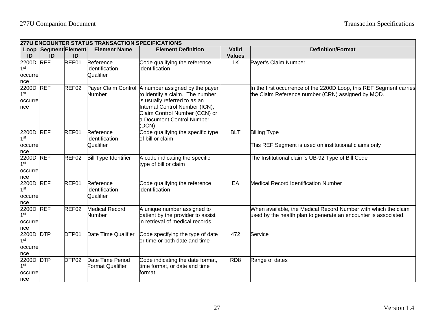|                                                | 277U ENCOUNTER STATUS TRANSACTION SPECIFICATIONS |                   |                                             |                                                                                                                                                                                                                                |                 |                                                                                                                                   |  |  |  |
|------------------------------------------------|--------------------------------------------------|-------------------|---------------------------------------------|--------------------------------------------------------------------------------------------------------------------------------------------------------------------------------------------------------------------------------|-----------------|-----------------------------------------------------------------------------------------------------------------------------------|--|--|--|
|                                                | Loop Segment Element                             |                   | <b>Element Name</b>                         | <b>Element Definition</b>                                                                                                                                                                                                      | Valid           | <b>Definition/Format</b>                                                                                                          |  |  |  |
| ID                                             | ID                                               | ID                |                                             |                                                                                                                                                                                                                                | <b>Values</b>   |                                                                                                                                   |  |  |  |
| 2200D<br>1 <sup>st</sup><br>occurre<br>nce     | <b>REF</b>                                       | REF01             | Reference<br>Identification<br>Qualifier    | Code qualifying the reference<br>identification                                                                                                                                                                                | 1K              | Payer's Claim Number                                                                                                              |  |  |  |
| 2200D REF<br>1 <sup>st</sup><br>occurre<br>nce |                                                  | REF02             | Number                                      | Payer Claim Control A number assigned by the payer<br>to identify a claim. The number<br>is usually referred to as an<br>Internal Control Number (ICN),<br>Claim Control Number (CCN) or<br>a Document Control Number<br>(DCN) |                 | In the first occurrence of the 2200D Loop, this REF Segment carries<br>the Claim Reference number (CRN) assigned by MQD.          |  |  |  |
| 2200D REF<br>1 <sup>st</sup><br>occurre<br>nce |                                                  | REF01             | Reference<br>Identification<br>Qualifier    | Code qualifying the specific type<br>of bill or claim                                                                                                                                                                          | <b>BLT</b>      | <b>Billing Type</b><br>This REF Segment is used on institutional claims only                                                      |  |  |  |
| 2200D REF<br>1 <sup>st</sup><br>occurre<br>nce |                                                  | REF02             | <b>Bill Type Identifier</b>                 | A code indicating the specific<br>type of bill or claim                                                                                                                                                                        |                 | The Institutional claim's UB-92 Type of Bill Code                                                                                 |  |  |  |
| 2200D REF<br>1 <sup>st</sup><br>occurre<br>nce |                                                  | REF01             | Reference<br>Identification<br>Qualifier    | Code qualifying the reference<br>identification                                                                                                                                                                                | EA              | <b>Medical Record Identification Number</b>                                                                                       |  |  |  |
| 2200D REF<br>1 <sup>st</sup><br>occurre<br>nce |                                                  | REF02             | <b>Medical Record</b><br>Number             | A unique number assigned to<br>patient by the provider to assist<br>in retrieval of medical records                                                                                                                            |                 | When available, the Medical Record Number with which the claim<br>used by the health plan to generate an encounter is associated. |  |  |  |
| 2200D DTP<br>1 <sup>st</sup><br>occurre<br>nce |                                                  | DTP01             | Date Time Qualifier                         | Code specifying the type of date<br>or time or both date and time                                                                                                                                                              | 472             | Service                                                                                                                           |  |  |  |
| 2200D DTP<br>1 <sup>st</sup><br>occurre<br>nce |                                                  | DTP <sub>02</sub> | Date Time Period<br><b>Format Qualifier</b> | Code indicating the date format,<br>time format, or date and time<br>format                                                                                                                                                    | RD <sub>8</sub> | Range of dates                                                                                                                    |  |  |  |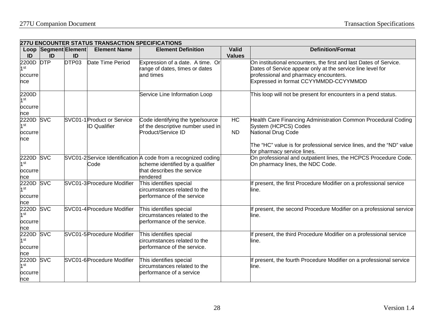|                                                       | <b>277U ENCOUNTER STATUS TRANSACTION SPECIFICATIONS</b> |       |                                                   |                                                                                                                                              |                 |                                                                                                                                                                                                                    |  |  |  |
|-------------------------------------------------------|---------------------------------------------------------|-------|---------------------------------------------------|----------------------------------------------------------------------------------------------------------------------------------------------|-----------------|--------------------------------------------------------------------------------------------------------------------------------------------------------------------------------------------------------------------|--|--|--|
|                                                       | Loop Segment Element                                    |       | <b>Element Name</b>                               | <b>Element Definition</b>                                                                                                                    | <b>Valid</b>    | <b>Definition/Format</b>                                                                                                                                                                                           |  |  |  |
| ID                                                    | ID                                                      | ID    |                                                   |                                                                                                                                              | <b>Values</b>   |                                                                                                                                                                                                                    |  |  |  |
| 2200D DTP<br>1 <sup>st</sup><br>occurre<br>nce        |                                                         | DTP03 | Date Time Period                                  | Expression of a date. A time. Or<br>range of dates, times or dates<br>and times                                                              |                 | On institutional encounters, the first and last Dates of Service.<br>Dates of Service appear only at the service line level for<br>professional and pharmacy encounters.<br>Expressed in format CCYYMMDD-CCYYMMDD  |  |  |  |
| 2200D<br>1 <sup>st</sup>                              |                                                         |       |                                                   | Service Line Information Loop                                                                                                                |                 | This loop will not be present for encounters in a pend status.                                                                                                                                                     |  |  |  |
| occurre<br>nce                                        |                                                         |       |                                                   |                                                                                                                                              |                 |                                                                                                                                                                                                                    |  |  |  |
| <b>2220D SVC</b><br>1 <sup>st</sup><br>occurre<br>nce |                                                         |       | SVC01-1 Product or Service<br><b>ID Qualifier</b> | Code identifying the type/source<br>of the descriptive number used in<br>Product/Service ID                                                  | HC<br><b>ND</b> | Health Care Financing Administration Common Procedural Coding<br>System (HCPCS) Codes<br>National Drug Code<br>The "HC" value is for professional service lines, and the "ND" value<br>for pharmacy service lines. |  |  |  |
| 2220D<br>1 <sup>st</sup><br>occurre<br>nce            | <b>SVC</b>                                              |       | Code                                              | SVC01-2 Service Identification A code from a recognized coding<br>scheme identified by a qualifier<br>that describes the service<br>rendered |                 | On professional and outpatient lines, the HCPCS Procedure Code.<br>On pharmacy lines, the NDC Code.                                                                                                                |  |  |  |
| 2220D<br>1 <sup>st</sup><br>occurre<br>nce            | <b>SVC</b>                                              |       | SVC01-3 Procedure Modifier                        | This identifies special<br>circumstances related to the<br>performance of the service                                                        |                 | present, the first Procedure Modifier on a professional service<br>line.                                                                                                                                           |  |  |  |
| 2220D<br>1 <sup>st</sup><br>occurre<br>nce            | <b>SVC</b>                                              |       | SVC01-4 Procedure Modifier                        | This identifies special<br>circumstances related to the<br>berformance of the service.                                                       |                 | f present, the second Procedure Modifier on a professional service<br>line.                                                                                                                                        |  |  |  |
| 2220D SVC<br>1 <sup>st</sup><br>occurre<br>nce        |                                                         |       | SVC01-5 Procedure Modifier                        | This identifies special<br>circumstances related to the<br>performance of the service.                                                       |                 | f present, the third Procedure Modifier on a professional service<br>line.                                                                                                                                         |  |  |  |
| <b>2220D SVC</b><br>1 <sup>st</sup><br>occurre<br>nce |                                                         |       | SVC01-6 Procedure Modifier                        | This identifies special<br>circumstances related to the<br>performance of a service                                                          |                 | f present, the fourth Procedure Modifier on a professional service<br>line.                                                                                                                                        |  |  |  |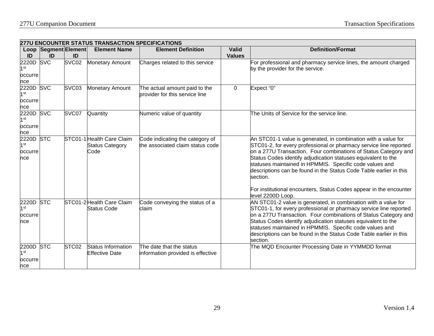|                                                |                      |                   | <b>277U ENCOUNTER STATUS TRANSACTION SPECIFICATIONS</b>     |                                                                     |               |                                                                                                                                                                                                                                                                                                                                                                                                                      |
|------------------------------------------------|----------------------|-------------------|-------------------------------------------------------------|---------------------------------------------------------------------|---------------|----------------------------------------------------------------------------------------------------------------------------------------------------------------------------------------------------------------------------------------------------------------------------------------------------------------------------------------------------------------------------------------------------------------------|
|                                                | Loop Segment Element |                   | <b>Element Name</b>                                         | <b>Element Definition</b>                                           | <b>Valid</b>  | <b>Definition/Format</b>                                                                                                                                                                                                                                                                                                                                                                                             |
| ID                                             | ID                   | ID                |                                                             |                                                                     | <b>Values</b> |                                                                                                                                                                                                                                                                                                                                                                                                                      |
| 2220D<br>1st<br>occurre                        | <b>SVC</b>           | SVC <sub>02</sub> | <b>Monetary Amount</b>                                      | Charges related to this service                                     |               | For professional and pharmacy service lines, the amount charged<br>by the provider for the service.                                                                                                                                                                                                                                                                                                                  |
| nce                                            |                      |                   |                                                             |                                                                     |               |                                                                                                                                                                                                                                                                                                                                                                                                                      |
| <b>2220D SVC</b><br>1 st                       |                      | SVC03             | <b>Monetary Amount</b>                                      | The actual amount paid to the<br>provider for this service line     | 0             | Expect "0"                                                                                                                                                                                                                                                                                                                                                                                                           |
| occurre                                        |                      |                   |                                                             |                                                                     |               |                                                                                                                                                                                                                                                                                                                                                                                                                      |
| nce                                            |                      |                   |                                                             |                                                                     |               |                                                                                                                                                                                                                                                                                                                                                                                                                      |
| 2220D SVC<br>1 <sup>st</sup>                   |                      | SVC07             | Quantity                                                    | Numeric value of quantity                                           |               | The Units of Service for the service line.                                                                                                                                                                                                                                                                                                                                                                           |
| occurre                                        |                      |                   |                                                             |                                                                     |               |                                                                                                                                                                                                                                                                                                                                                                                                                      |
| nce                                            |                      |                   |                                                             |                                                                     |               |                                                                                                                                                                                                                                                                                                                                                                                                                      |
| 2220D STC<br>$1$ st<br>occurre<br>nce          |                      |                   | STC01-1 Health Care Claim<br><b>Status Category</b><br>Code | Code indicating the category of<br>the associated claim status code |               | An STC01-1 value is generated, in combination with a value for<br>STC01-2, for every professional or pharmacy service line reported<br>on a 277U Transaction. Four combinations of Status Category and<br>Status Codes identify adjudication statuses equivalent to the<br>statuses maintained in HPMMIS. Specific code values and<br>descriptions can be found in the Status Code Table earlier in this<br>section. |
|                                                |                      |                   |                                                             |                                                                     |               | For institutional encounters, Status Codes appear in the encounter<br>level 2200D Loop.                                                                                                                                                                                                                                                                                                                              |
| 2220D STC<br>1 <sub>st</sub><br>occurre<br>nce |                      |                   | STC01-2 Health Care Claim<br><b>Status Code</b>             | Code conveying the status of a<br>claim                             |               | AN STC01-2 value is generated, in combination with a value for<br>STC01-1, for every professional or pharmacy service line reported<br>on a 277U Transaction. Four combinations of Status Category and<br>Status Codes identify adjudication statuses equivalent to the<br>statuses maintained in HPMMIS. Specific code values and<br>descriptions can be found in the Status Code Table earlier in this<br>section. |
| 2200D STC<br>1st<br>occurre<br>nce             |                      | STC02             | <b>Status Information</b><br><b>Effective Date</b>          | The date that the status<br>information provided is effective       |               | The MQD Encounter Processing Date in YYMMDD format                                                                                                                                                                                                                                                                                                                                                                   |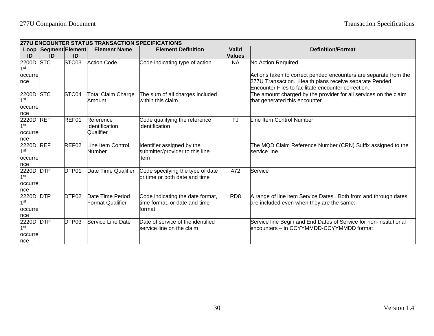|                                            | <b>277U ENCOUNTER STATUS TRANSACTION SPECIFICATIONS</b> |                   |                                             |                                                                             |                               |                                                                                                                                                                                   |  |  |  |  |
|--------------------------------------------|---------------------------------------------------------|-------------------|---------------------------------------------|-----------------------------------------------------------------------------|-------------------------------|-----------------------------------------------------------------------------------------------------------------------------------------------------------------------------------|--|--|--|--|
| ID                                         | Loop Segment Element<br>ID                              | ID                | <b>Element Name</b>                         | <b>Element Definition</b>                                                   | <b>Valid</b><br><b>Values</b> | <b>Definition/Format</b>                                                                                                                                                          |  |  |  |  |
| 2200D<br>1 <sup>st</sup>                   | <b>STC</b>                                              | STC03             | <b>Action Code</b>                          | Code indicating type of action                                              | <b>NA</b>                     | No Action Required                                                                                                                                                                |  |  |  |  |
| occurre<br>nce                             |                                                         |                   |                                             |                                                                             |                               | Actions taken to correct pended encounters are separate from the<br>277U Transaction. Health plans receive separate Pended<br>Encounter Files to facilitate encounter correction. |  |  |  |  |
| 2200D<br>1 <sup>st</sup><br>occurre<br>nce | <b>STC</b>                                              | STC04             | <b>Total Claim Charge</b><br>Amount         | The sum of all charges included<br>within this claim                        |                               | The amount charged by the provider for all services on the claim<br>that generated this encounter.                                                                                |  |  |  |  |
| 2220D<br>1 <sup>st</sup><br>occurre<br>nce | <b>REF</b>                                              | REF01             | Reference<br>Identification<br>Qualifier    | Code qualifying the reference<br>identification                             | $\overline{FJ}$               | ine Item Control Number                                                                                                                                                           |  |  |  |  |
| 2220D<br>1 <sup>st</sup><br>occurre<br>nce | <b>REF</b>                                              | REF02             | Line Item Control<br>Number                 | Identifier assigned by the<br>submitter/provider to this line<br>item       |                               | The MQD Claim Reference Number (CRN) Suffix assigned to the<br>service line.                                                                                                      |  |  |  |  |
| 2220D<br>1 <sup>st</sup><br>occurre<br>nce | <b>DTP</b>                                              | DTP01             | Date Time Qualifier                         | Code specifying the type of date<br>or time or both date and time           | 472                           | Service                                                                                                                                                                           |  |  |  |  |
| 2220D<br>1 <sup>st</sup><br>occurre<br>nce | <b>DTP</b>                                              | DTP <sub>02</sub> | Date Time Period<br><b>Format Qualifier</b> | Code indicating the date format,<br>time format, or date and time<br>format | RD <sub>8</sub>               | A range of line item Service Dates. Both from and through dates<br>are included even when they are the same.                                                                      |  |  |  |  |
| 2220D<br>1 <sup>st</sup><br>occurre<br>nce | <b>DTP</b>                                              | DTP03             | Service Line Date                           | Date of service of the identified<br>service line on the claim              |                               | Service line Begin and End Dates of Service for non-institutional<br>encounters - in CCYYMMDD-CCYYMMDD format                                                                     |  |  |  |  |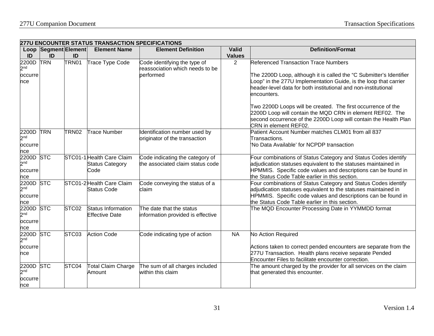|                                     | <b>277U ENCOUNTER STATUS TRANSACTION SPECIFICATIONS</b> |                   |                           |                                                                              |               |                                                                                                                                                                                                                        |  |  |
|-------------------------------------|---------------------------------------------------------|-------------------|---------------------------|------------------------------------------------------------------------------|---------------|------------------------------------------------------------------------------------------------------------------------------------------------------------------------------------------------------------------------|--|--|
|                                     | <b>Loop Segment Element</b>                             |                   | <b>Element Name</b>       | <b>Element Definition</b>                                                    | <b>Valid</b>  | <b>Definition/Format</b>                                                                                                                                                                                               |  |  |
| ID                                  | ID                                                      | ID                |                           |                                                                              | <b>Values</b> |                                                                                                                                                                                                                        |  |  |
| 2200D<br>2 <sub>nd</sub><br>occurre | <b>TRN</b>                                              | TRN01             | Trace Type Code           | Code identifying the type of<br>reassociation which needs to be<br>performed | 2             | <b>Referenced Transaction Trace Numbers</b><br>The 2200D Loop, although it is called the "C Submitter's Identifier                                                                                                     |  |  |
| nce                                 |                                                         |                   |                           |                                                                              |               | Loop" in the 277U Implementation Guide, is the loop that carrier<br>header-level data for both institutional and non-institutional<br>encounters.                                                                      |  |  |
|                                     |                                                         |                   |                           |                                                                              |               | Two 2200D Loops will be created. The first occurrence of the<br>2200D Loop will contain the MQD CRN in element REF02. The<br>second occurrence of the 2200D Loop will contain the Health Plan<br>CRN in element REF02. |  |  |
| 2200D TRN<br>2 <sub>nd</sub>        |                                                         | <b>TRN02</b>      | <b>Trace Number</b>       | Identification number used by<br>originator of the transaction               |               | Patient Account Number matches CLM01 from all 837<br>Transactions.<br>'No Data Available' for NCPDP transaction                                                                                                        |  |  |
| occurre<br>nce                      |                                                         |                   |                           |                                                                              |               |                                                                                                                                                                                                                        |  |  |
| 2200D                               | <b>STC</b>                                              |                   | STC01-1 Health Care Claim | Code indicating the category of                                              |               | Four combinations of Status Category and Status Codes identify                                                                                                                                                         |  |  |
| 2 <sub>nd</sub>                     |                                                         |                   | <b>Status Category</b>    | the associated claim status code                                             |               | adjudication statuses equivalent to the statuses maintained in                                                                                                                                                         |  |  |
| occurre                             |                                                         |                   | Code                      |                                                                              |               | HPMMIS. Specific code values and descriptions can be found in<br>the Status Code Table earlier in this section.                                                                                                        |  |  |
| nce<br>2200D STC                    |                                                         |                   | STC01-2 Health Care Claim | Code conveying the status of a                                               |               | Four combinations of Status Category and Status Codes identify                                                                                                                                                         |  |  |
| 2 <sup>nd</sup>                     |                                                         |                   | <b>Status Code</b>        | claim                                                                        |               | adjudication statuses equivalent to the statuses maintained in                                                                                                                                                         |  |  |
| occurre                             |                                                         |                   |                           |                                                                              |               | HPMMIS. Specific code values and descriptions can be found in                                                                                                                                                          |  |  |
| nce                                 |                                                         |                   |                           |                                                                              |               | the Status Code Table earlier in this section.                                                                                                                                                                         |  |  |
| 2200D STC                           |                                                         | STC <sub>02</sub> | <b>Status Information</b> | The date that the status                                                     |               | The MQD Encounter Processing Date in YYMMDD format                                                                                                                                                                     |  |  |
| 2 <sub>nd</sub>                     |                                                         |                   | <b>Effective Date</b>     | information provided is effective                                            |               |                                                                                                                                                                                                                        |  |  |
| occurre                             |                                                         |                   |                           |                                                                              |               |                                                                                                                                                                                                                        |  |  |
| nce                                 |                                                         |                   |                           |                                                                              |               |                                                                                                                                                                                                                        |  |  |
| 2200D<br>2 <sub>nd</sub>            | <b>STC</b>                                              | STC03             | <b>Action Code</b>        | Code indicating type of action                                               | <b>NA</b>     | No Action Required                                                                                                                                                                                                     |  |  |
| occurre                             |                                                         |                   |                           |                                                                              |               | Actions taken to correct pended encounters are separate from the                                                                                                                                                       |  |  |
| nce                                 |                                                         |                   |                           |                                                                              |               | 277U Transaction. Health plans receive separate Pended<br>Encounter Files to facilitate encounter correction.                                                                                                          |  |  |
| 2200D                               | <b>STC</b>                                              | STC04             | <b>Total Claim Charge</b> | The sum of all charges included                                              |               | The amount charged by the provider for all services on the claim                                                                                                                                                       |  |  |
| 2 <sup>nd</sup>                     |                                                         |                   | Amount                    | within this claim                                                            |               | that generated this encounter.                                                                                                                                                                                         |  |  |
| occurre                             |                                                         |                   |                           |                                                                              |               |                                                                                                                                                                                                                        |  |  |
| nce                                 |                                                         |                   |                           |                                                                              |               |                                                                                                                                                                                                                        |  |  |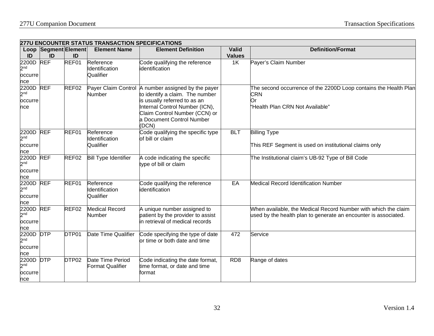|                                                | 277U ENCOUNTER STATUS TRANSACTION SPECIFICATIONS |                   |                                             |                                                                                                                                                                                                                                |                 |                                                                                                                                   |  |  |  |  |
|------------------------------------------------|--------------------------------------------------|-------------------|---------------------------------------------|--------------------------------------------------------------------------------------------------------------------------------------------------------------------------------------------------------------------------------|-----------------|-----------------------------------------------------------------------------------------------------------------------------------|--|--|--|--|
|                                                | Loop Segment Element                             |                   | <b>Element Name</b>                         | <b>Element Definition</b>                                                                                                                                                                                                      | Valid           | <b>Definition/Format</b>                                                                                                          |  |  |  |  |
| ID                                             | ID                                               | ID                |                                             |                                                                                                                                                                                                                                | <b>Values</b>   |                                                                                                                                   |  |  |  |  |
| 2200D<br>2 <sub>nd</sub><br>occurre<br>nce     | <b>REF</b>                                       | REF01             | Reference<br>Identification<br>Qualifier    | Code qualifying the reference<br>identification                                                                                                                                                                                | 1K              | Payer's Claim Number                                                                                                              |  |  |  |  |
| 2200D REF<br>2 <sup>nd</sup><br>occurre<br>nce |                                                  | REF02             | Number                                      | Payer Claim Control A number assigned by the payer<br>to identify a claim. The number<br>is usually referred to as an<br>Internal Control Number (ICN),<br>Claim Control Number (CCN) or<br>a Document Control Number<br>(DCN) |                 | The second occurrence of the 2200D Loop contains the Health Plan<br><b>CRN</b><br>Or<br>"Health Plan CRN Not Available"           |  |  |  |  |
| 2200D REF<br>2 <sub>nd</sub><br>occurre<br>nce |                                                  | REF01             | Reference<br>Identification<br>Qualifier    | Code qualifying the specific type<br>of bill or claim                                                                                                                                                                          | <b>BLT</b>      | <b>Billing Type</b><br>This REF Segment is used on institutional claims only                                                      |  |  |  |  |
| 2200D REF<br>2 <sub>nd</sub><br>occurre<br>nce |                                                  | REF02             | <b>Bill Type Identifier</b>                 | A code indicating the specific<br>type of bill or claim                                                                                                                                                                        |                 | The Institutional claim's UB-92 Type of Bill Code                                                                                 |  |  |  |  |
| 2200D REF<br>2 <sup>nd</sup><br>occurre<br>nce |                                                  | REF01             | Reference<br>Identification<br>Qualifier    | Code qualifying the reference<br>identification                                                                                                                                                                                | EA              | <b>Medical Record Identification Number</b>                                                                                       |  |  |  |  |
| 2200D REF<br>2 <sub>nd</sub><br>occurre<br>nce |                                                  | REF02             | <b>Medical Record</b><br>Number             | A unique number assigned to<br>patient by the provider to assist<br>in retrieval of medical records                                                                                                                            |                 | When available, the Medical Record Number with which the claim<br>used by the health plan to generate an encounter is associated. |  |  |  |  |
| 2200D DTP<br>2 <sup>nd</sup><br>occurre<br>nce |                                                  | DTP01             | Date Time Qualifier                         | Code specifying the type of date<br>or time or both date and time                                                                                                                                                              | 472             | Service                                                                                                                           |  |  |  |  |
| 2200D DTP<br>2 <sub>nd</sub><br>occurre<br>nce |                                                  | DTP <sub>02</sub> | Date Time Period<br><b>Format Qualifier</b> | Code indicating the date format,<br>time format, or date and time<br>format                                                                                                                                                    | RD <sub>8</sub> | Range of dates                                                                                                                    |  |  |  |  |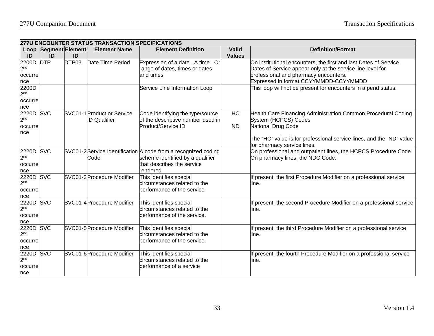|                                                       | <b>277U ENCOUNTER STATUS TRANSACTION SPECIFICATIONS</b> |       |                                                   |                                                                                                                                             |                 |                                                                                                                                                                                                                    |  |  |  |
|-------------------------------------------------------|---------------------------------------------------------|-------|---------------------------------------------------|---------------------------------------------------------------------------------------------------------------------------------------------|-----------------|--------------------------------------------------------------------------------------------------------------------------------------------------------------------------------------------------------------------|--|--|--|
|                                                       | Loop Segment Element                                    |       | <b>Element Name</b>                               | <b>Element Definition</b>                                                                                                                   | <b>Valid</b>    | <b>Definition/Format</b>                                                                                                                                                                                           |  |  |  |
| ID                                                    | ID                                                      | ID    |                                                   |                                                                                                                                             | <b>Values</b>   |                                                                                                                                                                                                                    |  |  |  |
| 2200D<br>2 <sub>nd</sub><br>occurre<br>nce            | <b>DTP</b>                                              | DTP03 | Date Time Period                                  | Expression of a date. A time. Or<br>range of dates, times or dates<br>and times                                                             |                 | On institutional encounters, the first and last Dates of Service.<br>Dates of Service appear only at the service line level for<br>professional and pharmacy encounters.<br>Expressed in format CCYYMMDD-CCYYMMDD  |  |  |  |
| 2200D<br>2 <sup>nd</sup><br>occurre<br>nce            |                                                         |       |                                                   | Service Line Information Loop                                                                                                               |                 | This loop will not be present for encounters in a pend status.                                                                                                                                                     |  |  |  |
| 2220D<br>2 <sub>nd</sub><br>occurre<br>nce            | <b>SVC</b>                                              |       | SVC01-1 Product or Service<br><b>ID Qualifier</b> | Code identifying the type/source<br>of the descriptive number used in<br>Product/Service ID                                                 | HC<br><b>ND</b> | Health Care Financing Administration Common Procedural Coding<br>System (HCPCS) Codes<br>National Drug Code<br>The "HC" value is for professional service lines, and the "ND" value<br>for pharmacy service lines. |  |  |  |
| 2220D<br>2 <sub>nd</sub><br>occurre<br>nce            | <b>SVC</b>                                              |       | Code                                              | SVC01-2Service Identification A code from a recognized coding<br>scheme identified by a qualifier<br>that describes the service<br>rendered |                 | On professional and outpatient lines, the HCPCS Procedure Code.<br>On pharmacy lines, the NDC Code.                                                                                                                |  |  |  |
| 2220D SVC<br>2 <sub>nd</sub><br>occurre<br>nce        |                                                         |       | SVC01-3 Procedure Modifier                        | This identifies special<br>circumstances related to the<br>performance of the service                                                       |                 | f present, the first Procedure Modifier on a professional service<br>line.                                                                                                                                         |  |  |  |
| <b>2220D SVC</b><br>2 <sub>nd</sub><br>occurre<br>nce |                                                         |       | SVC01-4 Procedure Modifier                        | This identifies special<br>circumstances related to the<br>performance of the service.                                                      |                 | If present, the second Procedure Modifier on a professional service<br>line.                                                                                                                                       |  |  |  |
| 2220D<br>2 <sup>nd</sup><br>occurre<br>nce            | <b>SVC</b>                                              |       | SVC01-5 Procedure Modifier                        | This identifies special<br>circumstances related to the<br>performance of the service.                                                      |                 | If present, the third Procedure Modifier on a professional service<br>line.                                                                                                                                        |  |  |  |
| 2220D<br>2 <sub>nd</sub><br>occurre<br>nce            | <b>SVC</b>                                              |       | SVC01-6 Procedure Modifier                        | This identifies special<br>circumstances related to the<br>performance of a service                                                         |                 | If present, the fourth Procedure Modifier on a professional service<br>line.                                                                                                                                       |  |  |  |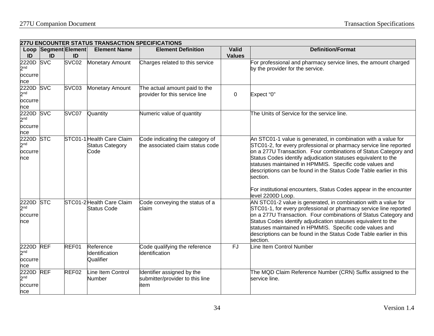|                                                | <b>277U ENCOUNTER STATUS TRANSACTION SPECIFICATIONS</b> |                   |                                                             |                                                                       |                               |                                                                                                                                                                                                                                                                                                                                                                                                                      |  |  |  |  |
|------------------------------------------------|---------------------------------------------------------|-------------------|-------------------------------------------------------------|-----------------------------------------------------------------------|-------------------------------|----------------------------------------------------------------------------------------------------------------------------------------------------------------------------------------------------------------------------------------------------------------------------------------------------------------------------------------------------------------------------------------------------------------------|--|--|--|--|
| ID                                             | Loop Segment Element<br>ID                              | ID                | <b>Element Name</b>                                         | <b>Element Definition</b>                                             | <b>Valid</b><br><b>Values</b> | <b>Definition/Format</b>                                                                                                                                                                                                                                                                                                                                                                                             |  |  |  |  |
| 2220D<br>2 <sub>nd</sub><br>occurre<br>nce     | <b>SVC</b>                                              | SVC02             | <b>Monetary Amount</b>                                      | Charges related to this service                                       |                               | For professional and pharmacy service lines, the amount charged<br>by the provider for the service.                                                                                                                                                                                                                                                                                                                  |  |  |  |  |
| 2220D<br>2 <sub>nd</sub><br>occurre<br>nce     | <b>SVC</b>                                              | SVC <sub>03</sub> | <b>Monetary Amount</b>                                      | The actual amount paid to the<br>provider for this service line       | 0                             | Expect "0"                                                                                                                                                                                                                                                                                                                                                                                                           |  |  |  |  |
| 2220D SVC<br>2 <sub>nd</sub><br>occurre<br>nce |                                                         | SVC07             | Quantity                                                    | Numeric value of quantity                                             |                               | The Units of Service for the service line.                                                                                                                                                                                                                                                                                                                                                                           |  |  |  |  |
| 2220D STC<br>2 <sub>nd</sub><br>occurre<br>nce |                                                         |                   | STC01-1 Health Care Claim<br><b>Status Category</b><br>Code | Code indicating the category of<br>the associated claim status code   |                               | An STC01-1 value is generated, in combination with a value for<br>STC01-2, for every professional or pharmacy service line reported<br>on a 277U Transaction. Four combinations of Status Category and<br>Status Codes identify adjudication statuses equivalent to the<br>statuses maintained in HPMMIS. Specific code values and<br>descriptions can be found in the Status Code Table earlier in this<br>section. |  |  |  |  |
|                                                |                                                         |                   |                                                             |                                                                       |                               | For institutional encounters, Status Codes appear in the encounter<br>level 2200D Loop.                                                                                                                                                                                                                                                                                                                              |  |  |  |  |
| 2220D<br>2 <sub>nd</sub><br>occurre<br>nce     | <b>STC</b>                                              |                   | STC01-2 Health Care Claim<br><b>Status Code</b>             | Code conveying the status of a<br>claim                               |                               | AN STC01-2 value is generated, in combination with a value for<br>STC01-1, for every professional or pharmacy service line reported<br>on a 277U Transaction. Four combinations of Status Category and<br>Status Codes identify adjudication statuses equivalent to the<br>statuses maintained in HPMMIS. Specific code values and<br>descriptions can be found in the Status Code Table earlier in this<br>section. |  |  |  |  |
| 2220D<br>2 <sub>nd</sub><br>occurre<br>nce     | <b>REF</b>                                              | REF01             | Reference<br>Identification<br>Qualifier                    | Code qualifying the reference<br>identification                       | <b>FJ</b>                     | Line Item Control Number                                                                                                                                                                                                                                                                                                                                                                                             |  |  |  |  |
| 2220D<br>2 <sub>nd</sub><br>occurre<br>nce     | <b>REF</b>                                              | REF02             | Line Item Control<br>Number                                 | Identifier assigned by the<br>submitter/provider to this line<br>item |                               | The MQD Claim Reference Number (CRN) Suffix assigned to the<br>service line.                                                                                                                                                                                                                                                                                                                                         |  |  |  |  |